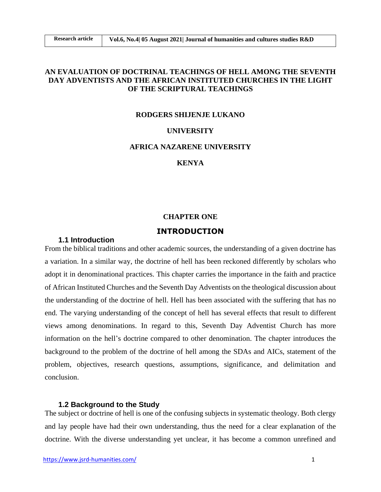## **AN EVALUATION OF DOCTRINAL TEACHINGS OF HELL AMONG THE SEVENTH DAY ADVENTISTS AND THE AFRICAN INSTITUTED CHURCHES IN THE LIGHT OF THE SCRIPTURAL TEACHINGS**

#### **RODGERS SHIJENJE LUKANO**

### **UNIVERSITY**

### **AFRICA NAZARENE UNIVERSITY**

### **KENYA**

#### **CHAPTER ONE**

### **INTRODUCTION**

## **1.1 Introduction**

From the biblical traditions and other academic sources, the understanding of a given doctrine has a variation. In a similar way, the doctrine of hell has been reckoned differently by scholars who adopt it in denominational practices. This chapter carries the importance in the faith and practice of African Instituted Churches and the Seventh Day Adventists on the theological discussion about the understanding of the doctrine of hell. Hell has been associated with the suffering that has no end. The varying understanding of the concept of hell has several effects that result to different views among denominations. In regard to this, Seventh Day Adventist Church has more information on the hell's doctrine compared to other denomination. The chapter introduces the background to the problem of the doctrine of hell among the SDAs and AICs, statement of the problem, objectives, research questions, assumptions, significance, and delimitation and conclusion.

### **1.2 Background to the Study**

The subject or doctrine of hell is one of the confusing subjects in systematic theology. Both clergy and lay people have had their own understanding, thus the need for a clear explanation of the doctrine. With the diverse understanding yet unclear, it has become a common unrefined and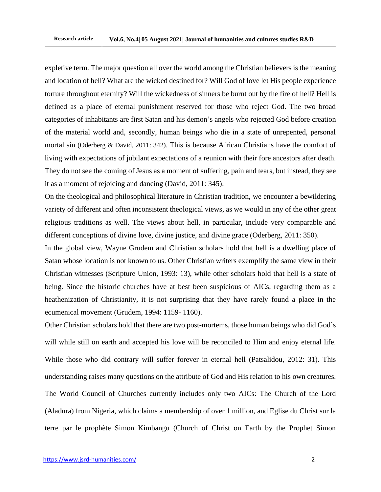expletive term. The major question all over the world among the Christian believers is the meaning and location of hell? What are the wicked destined for? Will God of love let His people experience torture throughout eternity? Will the wickedness of sinners be burnt out by the fire of hell? Hell is defined as a place of eternal punishment reserved for those who reject God. The two broad categories of inhabitants are first Satan and his demon's angels who rejected God before creation of the material world and, secondly, human beings who die in a state of unrepented, personal mortal sin (Oderberg & David, 2011: 342). This is because African Christians have the comfort of living with expectations of jubilant expectations of a reunion with their fore ancestors after death. They do not see the coming of Jesus as a moment of suffering, pain and tears, but instead, they see it as a moment of rejoicing and dancing (David, 2011: 345).

On the theological and philosophical literature in Christian tradition, we encounter a bewildering variety of different and often inconsistent theological views, as we would in any of the other great religious traditions as well. The views about hell, in particular, include very comparable and different conceptions of divine love, divine justice, and divine grace (Oderberg, 2011: 350).

In the global view, Wayne Grudem and Christian scholars hold that hell is a dwelling place of Satan whose location is not known to us. Other Christian writers exemplify the same view in their Christian witnesses (Scripture Union, 1993: 13), while other scholars hold that hell is a state of being. Since the historic churches have at best been suspicious of AICs, regarding them as a heathenization of Christianity, it is not surprising that they have rarely found a place in the ecumenical movement (Grudem, 1994: 1159- 1160).

Other Christian scholars hold that there are two post-mortems, those human beings who did God's will while still on earth and accepted his love will be reconciled to Him and enjoy eternal life. While those who did contrary will suffer forever in eternal hell (Patsalidou, 2012: 31). This understanding raises many questions on the attribute of God and His relation to his own creatures. The World Council of Churches currently includes only two AICs: The Church of the Lord (Aladura) from Nigeria, which claims a membership of over 1 million, and Eglise du Christ sur la terre par le prophète Simon Kimbangu (Church of Christ on Earth by the Prophet Simon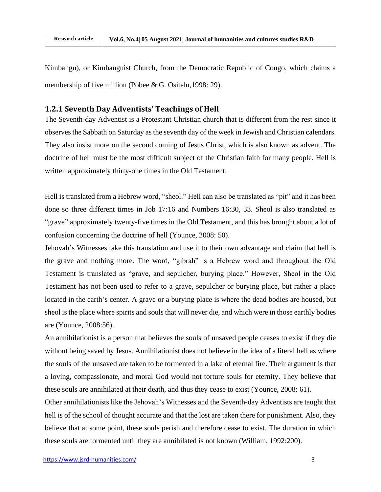$R = 1$ | Rese **Research article Vol.6, No.4| 05 August 2021| Journal of humanities and cultures studies R&D**

Kimbangu), or Kimbanguist Church, from the Democratic Republic of Congo, which claims a membership of five million (Pobee & G. Ositelu,1998: 29).

## **1.2.1 Seventh Day Adventists' Teachings of Hell**

The Seventh-day Adventist is a Protestant Christian church that is different from the rest since it observes the Sabbath on Saturday as the seventh day of the week in Jewish and Christian calendars. They also insist more on the second coming of Jesus Christ, which is also known as advent. The doctrine of hell must be the most difficult subject of the Christian faith for many people. Hell is written approximately thirty-one times in the Old Testament.

Hell is translated from a Hebrew word, "sheol." Hell can also be translated as "pit" and it has been done so three different times in Job 17:16 and Numbers 16:30, 33. Sheol is also translated as "grave" approximately twenty-five times in the Old Testament, and this has brought about a lot of confusion concerning the doctrine of hell (Younce, 2008: 50).

Jehovah's Witnesses take this translation and use it to their own advantage and claim that hell is the grave and nothing more. The word, "gibrah" is a Hebrew word and throughout the Old Testament is translated as "grave, and sepulcher, burying place." However, Sheol in the Old Testament has not been used to refer to a grave, sepulcher or burying place, but rather a place located in the earth's center. A grave or a burying place is where the dead bodies are housed, but sheol is the place where spirits and souls that will never die, and which were in those earthly bodies are (Younce, 2008:56).

An annihilationist is a person that believes the souls of unsaved people ceases to exist if they die without being saved by Jesus. Annihilationist does not believe in the idea of a literal hell as where the souls of the unsaved are taken to be tormented in a lake of eternal fire. Their argument is that a loving, compassionate, and moral God would not torture souls for eternity. They believe that these souls are annihilated at their death, and thus they cease to exist (Younce, 2008: 61).

Other annihilationists like the Jehovah's Witnesses and the Seventh-day Adventists are taught that hell is of the school of thought accurate and that the lost are taken there for punishment. Also, they believe that at some point, these souls perish and therefore cease to exist. The duration in which these souls are tormented until they are annihilated is not known (William, 1992:200).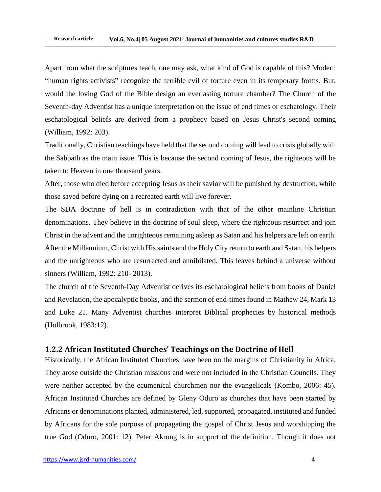Apart from what the scriptures teach, one may ask, what kind of God is capable of this? Modern "human rights activists" recognize the terrible evil of torture even in its temporary forms. But, would the loving God of the Bible design an everlasting torture chamber? The Church of the Seventh-day Adventist has a unique interpretation on the issue of end times or eschatology. Their eschatological beliefs are derived from a prophecy based on Jesus Christ's second coming (William, 1992: 203).

Traditionally, Christian teachings have held that the second coming will lead to crisis globally with the Sabbath as the main issue. This is because the second coming of Jesus, the righteous will be taken to Heaven in one thousand years.

After, those who died before accepting Jesus as their savior will be punished by destruction, while those saved before dying on a recreated earth will live forever.

The SDA doctrine of hell is in contradiction with that of the other mainline Christian denominations. They believe in the doctrine of soul sleep, where the righteous resurrect and join Christ in the advent and the unrighteous remaining asleep as Satan and his helpers are left on earth. After the Millennium, Christ with His saints and the Holy City return to earth and Satan, his helpers and the unrighteous who are resurrected and annihilated. This leaves behind a universe without sinners (William, 1992: 210- 2013).

The church of the Seventh-Day Adventist derives its eschatological beliefs from books of Daniel and Revelation, the apocalyptic books, and the sermon of end-times found in Mathew 24, Mark 13 and Luke 21. Many Adventist churches interpret Biblical prophecies by historical methods (Holbrook, 1983:12).

# **1.2.2 African Instituted Churches' Teachings on the Doctrine of Hell**

Historically, the African Instituted Churches have been on the margins of Christianity in Africa. They arose outside the Christian missions and were not included in the Christian Councils. They were neither accepted by the ecumenical churchmen nor the evangelicals (Kombo, 2006: 45). African Instituted Churches are defined by Gleny Oduro as churches that have been started by Africans or denominations planted, administered, led, supported, propagated, instituted and funded by Africans for the sole purpose of propagating the gospel of Christ Jesus and worshipping the true God (Oduro, 2001: 12). Peter Akrong is in support of the definition. Though it does not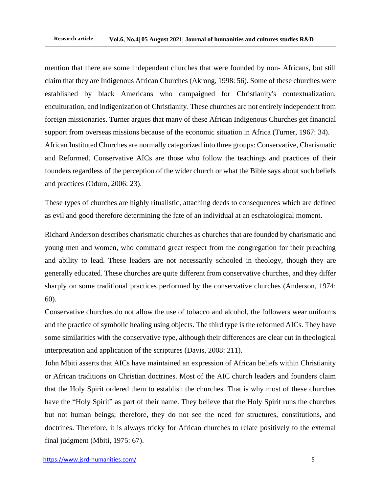mention that there are some independent churches that were founded by non- Africans, but still claim that they are Indigenous African Churches (Akrong, 1998: 56). Some of these churches were established by black Americans who campaigned for Christianity's contextualization, enculturation, and indigenization of Christianity. These churches are not entirely independent from foreign missionaries. Turner argues that many of these African Indigenous Churches get financial support from overseas missions because of the economic situation in Africa (Turner, 1967: 34). African Instituted Churches are normally categorized into three groups: Conservative, Charismatic and Reformed. Conservative AICs are those who follow the teachings and practices of their founders regardless of the perception of the wider church or what the Bible says about such beliefs and practices (Oduro, 2006: 23).

These types of churches are highly ritualistic, attaching deeds to consequences which are defined as evil and good therefore determining the fate of an individual at an eschatological moment.

Richard Anderson describes charismatic churches as churches that are founded by charismatic and young men and women, who command great respect from the congregation for their preaching and ability to lead. These leaders are not necessarily schooled in theology, though they are generally educated. These churches are quite different from conservative churches, and they differ sharply on some traditional practices performed by the conservative churches (Anderson, 1974: 60).

Conservative churches do not allow the use of tobacco and alcohol, the followers wear uniforms and the practice of symbolic healing using objects. The third type is the reformed AICs. They have some similarities with the conservative type, although their differences are clear cut in theological interpretation and application of the scriptures (Davis, 2008: 211).

John Mbiti asserts that AICs have maintained an expression of African beliefs within Christianity or African traditions on Christian doctrines. Most of the AIC church leaders and founders claim that the Holy Spirit ordered them to establish the churches. That is why most of these churches have the "Holy Spirit" as part of their name. They believe that the Holy Spirit runs the churches but not human beings; therefore, they do not see the need for structures, constitutions, and doctrines. Therefore, it is always tricky for African churches to relate positively to the external final judgment (Mbiti, 1975: 67).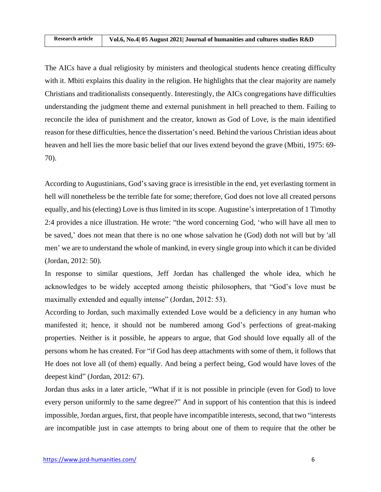The AICs have a dual religiosity by ministers and theological students hence creating difficulty with it. Mbiti explains this duality in the religion. He highlights that the clear majority are namely Christians and traditionalists consequently. Interestingly, the AICs congregations have difficulties understanding the judgment theme and external punishment in hell preached to them. Failing to reconcile the idea of punishment and the creator, known as God of Love, is the main identified reason for these difficulties, hence the dissertation's need. Behind the various Christian ideas about heaven and hell lies the more basic belief that our lives extend beyond the grave (Mbiti, 1975: 69- 70).

According to Augustinians, God's saving grace is irresistible in the end, yet everlasting torment in hell will nonetheless be the terrible fate for some; therefore, God does not love all created persons equally, and his (electing) Love is thus limited in its scope. Augustine's interpretation of 1 Timothy 2:4 provides a nice illustration. He wrote: "the word concerning God, 'who will have all men to be saved,' does not mean that there is no one whose salvation he (God) doth not will but by 'all men' we are to understand the whole of mankind, in every single group into which it can be divided (Jordan, 2012: 50).

In response to similar questions, Jeff Jordan has challenged the whole idea, which he acknowledges to be widely accepted among theistic philosophers, that "God's love must be maximally extended and equally intense" (Jordan, 2012: 53).

According to Jordan, such maximally extended Love would be a deficiency in any human who manifested it; hence, it should not be numbered among God's perfections of great-making properties. Neither is it possible, he appears to argue, that God should love equally all of the persons whom he has created. For "if God has deep attachments with some of them, it follows that He does not love all (of them) equally. And being a perfect being, God would have loves of the deepest kind" (Jordan, 2012: 67).

Jordan thus asks in a later article, "What if it is not possible in principle (even for God) to love every person uniformly to the same degree?" And in support of his contention that this is indeed impossible, Jordan argues, first, that people have incompatible interests, second, that two "interests are incompatible just in case attempts to bring about one of them to require that the other be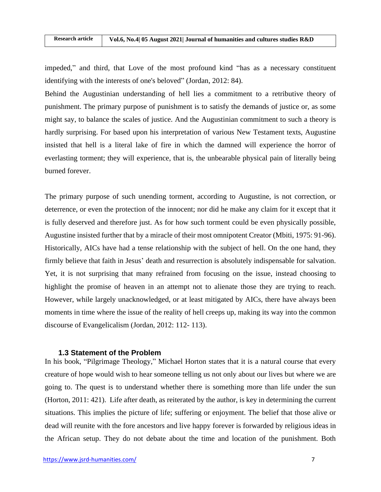impeded," and third, that Love of the most profound kind "has as a necessary constituent identifying with the interests of one's beloved" (Jordan, 2012: 84).

Behind the Augustinian understanding of hell lies a commitment to a retributive theory of punishment. The primary purpose of punishment is to satisfy the demands of justice or, as some might say, to balance the scales of justice. And the Augustinian commitment to such a theory is hardly surprising. For based upon his interpretation of various New Testament texts, Augustine insisted that hell is a literal lake of fire in which the damned will experience the horror of everlasting torment; they will experience, that is, the unbearable physical pain of literally being burned forever.

The primary purpose of such unending torment, according to Augustine, is not correction, or deterrence, or even the protection of the innocent; nor did he make any claim for it except that it is fully deserved and therefore just. As for how such torment could be even physically possible, Augustine insisted further that by a miracle of their most omnipotent Creator (Mbiti, 1975: 91-96). Historically, AICs have had a tense relationship with the subject of hell. On the one hand, they firmly believe that faith in Jesus' death and resurrection is absolutely indispensable for salvation. Yet, it is not surprising that many refrained from focusing on the issue, instead choosing to highlight the promise of heaven in an attempt not to alienate those they are trying to reach. However, while largely unacknowledged, or at least mitigated by AICs, there have always been moments in time where the issue of the reality of hell creeps up, making its way into the common discourse of Evangelicalism (Jordan, 2012: 112- 113).

### **1.3 Statement of the Problem**

In his book, "Pilgrimage Theology," Michael Horton states that it is a natural course that every creature of hope would wish to hear someone telling us not only about our lives but where we are going to. The quest is to understand whether there is something more than life under the sun (Horton, 2011: 421). Life after death, as reiterated by the author, is key in determining the current situations. This implies the picture of life; suffering or enjoyment. The belief that those alive or dead will reunite with the fore ancestors and live happy forever is forwarded by religious ideas in the African setup. They do not debate about the time and location of the punishment. Both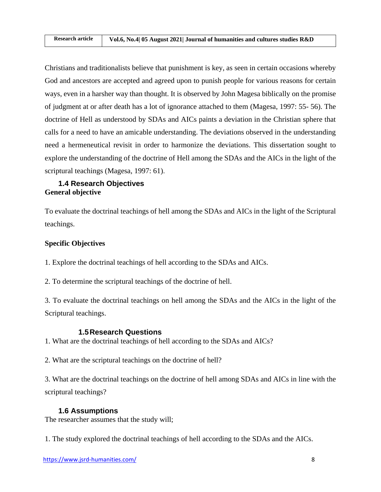Christians and traditionalists believe that punishment is key, as seen in certain occasions whereby God and ancestors are accepted and agreed upon to punish people for various reasons for certain ways, even in a harsher way than thought. It is observed by John Magesa biblically on the promise of judgment at or after death has a lot of ignorance attached to them (Magesa, 1997: 55- 56). The doctrine of Hell as understood by SDAs and AICs paints a deviation in the Christian sphere that calls for a need to have an amicable understanding. The deviations observed in the understanding need a hermeneutical revisit in order to harmonize the deviations. This dissertation sought to explore the understanding of the doctrine of Hell among the SDAs and the AICs in the light of the scriptural teachings (Magesa, 1997: 61).

## **1.4 Research Objectives General objective**

To evaluate the doctrinal teachings of hell among the SDAs and AICs in the light of the Scriptural teachings.

# **Specific Objectives**

1. Explore the doctrinal teachings of hell according to the SDAs and AICs.

2. To determine the scriptural teachings of the doctrine of hell.

3. To evaluate the doctrinal teachings on hell among the SDAs and the AICs in the light of the Scriptural teachings.

## **1.5Research Questions**

1. What are the doctrinal teachings of hell according to the SDAs and AICs?

2. What are the scriptural teachings on the doctrine of hell?

3. What are the doctrinal teachings on the doctrine of hell among SDAs and AICs in line with the scriptural teachings?

## **1.6 Assumptions**

The researcher assumes that the study will;

1. The study explored the doctrinal teachings of hell according to the SDAs and the AICs.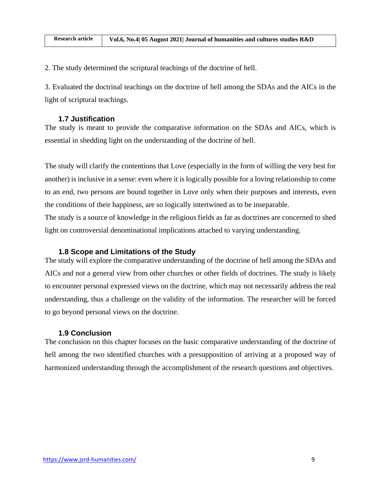2. The study determined the scriptural teachings of the doctrine of hell.

3. Evaluated the doctrinal teachings on the doctrine of hell among the SDAs and the AICs in the light of scriptural teachings.

### **1.7 Justification**

The study is meant to provide the comparative information on the SDAs and AICs, which is essential in shedding light on the understanding of the doctrine of hell.

The study will clarify the contentions that Love (especially in the form of willing the very best for another) is inclusive in a sense: even where it is logically possible for a loving relationship to come to an end, two persons are bound together in Love only when their purposes and interests, even the conditions of their happiness, are so logically intertwined as to be inseparable. The study is a source of knowledge in the religious fields as far as doctrines are concerned to shed light on controversial denominational implications attached to varying understanding.

### **1.8 Scope and Limitations of the Study**

The study will explore the comparative understanding of the doctrine of hell among the SDAs and AICs and not a general view from other churches or other fields of doctrines. The study is likely to encounter personal expressed views on the doctrine, which may not necessarily address the real understanding, thus a challenge on the validity of the information. The researcher will be forced to go beyond personal views on the doctrine.

### **1.9 Conclusion**

The conclusion on this chapter focuses on the basic comparative understanding of the doctrine of hell among the two identified churches with a presupposition of arriving at a proposed way of harmonized understanding through the accomplishment of the research questions and objectives.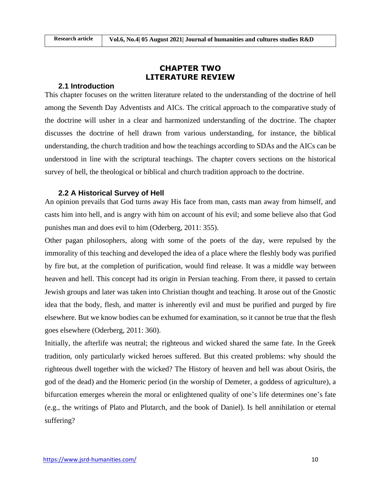# **CHAPTER TWO LITERATURE REVIEW**

### **2.1 Introduction**

This chapter focuses on the written literature related to the understanding of the doctrine of hell among the Seventh Day Adventists and AICs. The critical approach to the comparative study of the doctrine will usher in a clear and harmonized understanding of the doctrine. The chapter discusses the doctrine of hell drawn from various understanding, for instance, the biblical understanding, the church tradition and how the teachings according to SDAs and the AICs can be understood in line with the scriptural teachings. The chapter covers sections on the historical survey of hell, the theological or biblical and church tradition approach to the doctrine.

### **2.2 A Historical Survey of Hell**

An opinion prevails that God turns away His face from man, casts man away from himself, and casts him into hell, and is angry with him on account of his evil; and some believe also that God punishes man and does evil to him (Oderberg, 2011: 355).

Other pagan philosophers, along with some of the poets of the day, were repulsed by the immorality of this teaching and developed the idea of a place where the fleshly body was purified by fire but, at the completion of purification, would find release. It was a middle way between heaven and hell. This concept had its origin in Persian teaching. From there, it passed to certain Jewish groups and later was taken into Christian thought and teaching. It arose out of the Gnostic idea that the body, flesh, and matter is inherently evil and must be purified and purged by fire elsewhere. But we know bodies can be exhumed for examination, so it cannot be true that the flesh goes elsewhere (Oderberg, 2011: 360).

Initially, the afterlife was neutral; the righteous and wicked shared the same fate. In the Greek tradition, only particularly wicked heroes suffered. But this created problems: why should the righteous dwell together with the wicked? The History of heaven and hell was about Osiris, the god of the dead) and the Homeric period (in the worship of Demeter, a goddess of agriculture), a bifurcation emerges wherein the moral or enlightened quality of one's life determines one's fate (e.g., the writings of Plato and Plutarch, and the book of Daniel). Is hell annihilation or eternal suffering?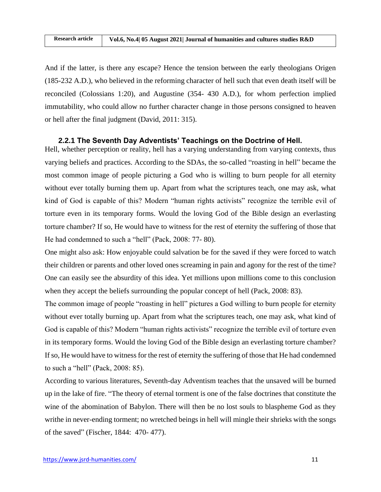And if the latter, is there any escape? Hence the tension between the early theologians Origen (185-232 A.D.), who believed in the reforming character of hell such that even death itself will be reconciled (Colossians 1:20), and Augustine (354- 430 A.D.), for whom perfection implied immutability, who could allow no further character change in those persons consigned to heaven or hell after the final judgment (David, 2011: 315).

## **2.2.1 The Seventh Day Adventists' Teachings on the Doctrine of Hell.**

Hell, whether perception or reality, hell has a varying understanding from varying contexts, thus varying beliefs and practices. According to the SDAs, the so-called "roasting in hell" became the most common image of people picturing a God who is willing to burn people for all eternity without ever totally burning them up. Apart from what the scriptures teach, one may ask, what kind of God is capable of this? Modern "human rights activists" recognize the terrible evil of torture even in its temporary forms. Would the loving God of the Bible design an everlasting torture chamber? If so, He would have to witness for the rest of eternity the suffering of those that He had condemned to such a "hell" (Pack, 2008: 77- 80).

One might also ask: How enjoyable could salvation be for the saved if they were forced to watch their children or parents and other loved ones screaming in pain and agony for the rest of the time? One can easily see the absurdity of this idea. Yet millions upon millions come to this conclusion when they accept the beliefs surrounding the popular concept of hell (Pack, 2008: 83).

The common image of people "roasting in hell" pictures a God willing to burn people for eternity without ever totally burning up. Apart from what the scriptures teach, one may ask, what kind of God is capable of this? Modern "human rights activists" recognize the terrible evil of torture even in its temporary forms. Would the loving God of the Bible design an everlasting torture chamber? If so, He would have to witness for the rest of eternity the suffering of those that He had condemned to such a "hell" (Pack, 2008: 85).

According to various literatures, Seventh-day Adventism teaches that the unsaved will be burned up in the lake of fire. "The theory of eternal torment is one of the false doctrines that constitute the wine of the abomination of Babylon. There will then be no lost souls to blaspheme God as they writhe in never-ending torment; no wretched beings in hell will mingle their shrieks with the songs of the saved" (Fischer, 1844: 470- 477).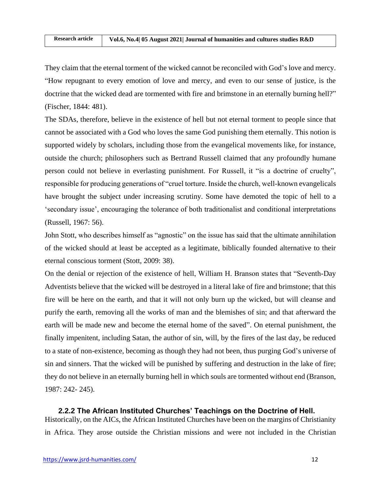They claim that the eternal torment of the wicked cannot be reconciled with God's love and mercy. "How repugnant to every emotion of love and mercy, and even to our sense of justice, is the doctrine that the wicked dead are tormented with fire and brimstone in an eternally burning hell?" (Fischer, 1844: 481).

The SDAs, therefore, believe in the existence of hell but not eternal torment to people since that cannot be associated with a God who loves the same God punishing them eternally. This notion is supported widely by scholars, including those from the evangelical movements like, for instance, outside the church; philosophers such as Bertrand Russell claimed that any profoundly humane person could not believe in everlasting punishment. For Russell, it "is a doctrine of cruelty", responsible for producing generations of "cruel torture. Inside the church, well-known evangelicals have brought the subject under increasing scrutiny. Some have demoted the topic of hell to a 'secondary issue', encouraging the tolerance of both traditionalist and conditional interpretations (Russell, 1967: 56).

John Stott, who describes himself as "agnostic" on the issue has said that the ultimate annihilation of the wicked should at least be accepted as a legitimate, biblically founded alternative to their eternal conscious torment (Stott, 2009: 38).

On the denial or rejection of the existence of hell, William H. Branson states that "Seventh-Day Adventists believe that the wicked will be destroyed in a literal lake of fire and brimstone; that this fire will be here on the earth, and that it will not only burn up the wicked, but will cleanse and purify the earth, removing all the works of man and the blemishes of sin; and that afterward the earth will be made new and become the eternal home of the saved". On eternal punishment, the finally impenitent, including Satan, the author of sin, will, by the fires of the last day, be reduced to a state of non-existence, becoming as though they had not been, thus purging God's universe of sin and sinners. That the wicked will be punished by suffering and destruction in the lake of fire; they do not believe in an eternally burning hell in which souls are tormented without end (Branson, 1987: 242- 245).

**2.2.2 The African Instituted Churches' Teachings on the Doctrine of Hell.** Historically, on the AICs, the African Instituted Churches have been on the margins of Christianity in Africa. They arose outside the Christian missions and were not included in the Christian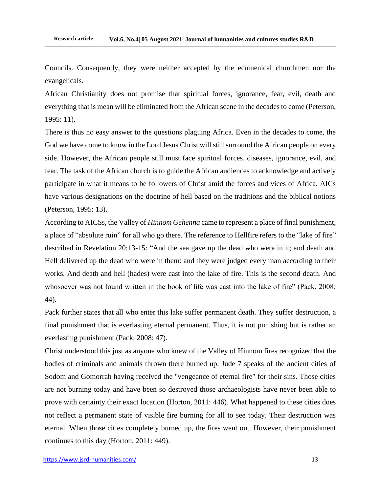Councils. Consequently, they were neither accepted by the ecumenical churchmen nor the evangelicals.

African Christianity does not promise that spiritual forces, ignorance, fear, evil, death and everything that is mean will be eliminated from the African scene in the decades to come (Peterson, 1995: 11).

There is thus no easy answer to the questions plaguing Africa. Even in the decades to come, the God we have come to know in the Lord Jesus Christ will still surround the African people on every side. However, the African people still must face spiritual forces, diseases, ignorance, evil, and fear. The task of the African church is to guide the African audiences to acknowledge and actively participate in what it means to be followers of Christ amid the forces and vices of Africa. AICs have various designations on the doctrine of hell based on the traditions and the biblical notions (Peterson, 1995: 13).

According to AICSs, the Valley of *Hinnom Gehenna* came to represent a place of final punishment, a place of "absolute ruin" for all who go there. The reference to Hellfire refers to the "lake of fire" described in Revelation 20:13-15: "And the sea gave up the dead who were in it; and death and Hell delivered up the dead who were in them: and they were judged every man according to their works. And death and hell (hades) were cast into the lake of fire. This is the second death. And whosoever was not found written in the book of life was cast into the lake of fire" (Pack, 2008: 44).

Pack further states that all who enter this lake suffer permanent death. They suffer destruction, a final punishment that is everlasting eternal permanent. Thus, it is not punishing but is rather an everlasting punishment (Pack, 2008: 47).

Christ understood this just as anyone who knew of the Valley of Hinnom fires recognized that the bodies of criminals and animals thrown there burned up. Jude 7 speaks of the ancient cities of Sodom and Gomorrah having received the "vengeance of eternal fire" for their sins. Those cities are not burning today and have been so destroyed those archaeologists have never been able to prove with certainty their exact location (Horton, 2011: 446). What happened to these cities does not reflect a permanent state of visible fire burning for all to see today. Their destruction was eternal. When those cities completely burned up, the fires went out. However, their punishment continues to this day (Horton, 2011: 449).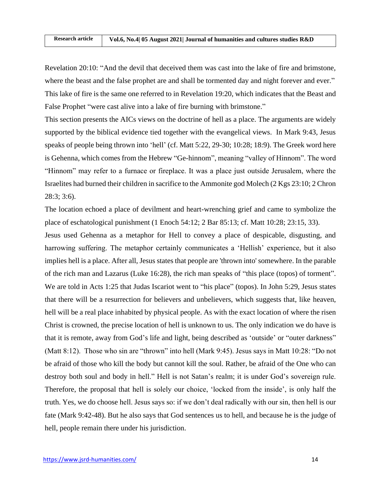Revelation 20:10: "And the devil that deceived them was cast into the lake of fire and brimstone, where the beast and the false prophet are and shall be tormented day and night forever and ever." This lake of fire is the same one referred to in Revelation 19:20, which indicates that the Beast and False Prophet "were cast alive into a lake of fire burning with brimstone."

This section presents the AICs views on the doctrine of hell as a place. The arguments are widely supported by the biblical evidence tied together with the evangelical views. In Mark 9:43, Jesus speaks of people being thrown into 'hell' (cf. Matt 5:22, 29-30; 10:28; 18:9). The Greek word here is Gehenna, which comes from the Hebrew "Ge-hinnom", meaning "valley of Hinnom". The word "Hinnom" may refer to a furnace or fireplace. It was a place just outside Jerusalem, where the Israelites had burned their children in sacrifice to the Ammonite god Molech (2 Kgs 23:10; 2 Chron 28:3; 3:6).

The location echoed a place of devilment and heart-wrenching grief and came to symbolize the place of eschatological punishment (1 Enoch 54:12; 2 Bar 85:13; cf. Matt 10:28; 23:15, 33).

Jesus used Gehenna as a metaphor for Hell to convey a place of despicable, disgusting, and harrowing suffering. The metaphor certainly communicates a 'Hellish' experience, but it also implies hell is a place. After all, Jesus states that people are 'thrown into' somewhere. In the parable of the rich man and Lazarus (Luke 16:28), the rich man speaks of "this place (topos) of torment". We are told in Acts 1:25 that Judas Iscariot went to "his place" (topos). In John 5:29, Jesus states that there will be a resurrection for believers and unbelievers, which suggests that, like heaven, hell will be a real place inhabited by physical people. As with the exact location of where the risen Christ is crowned, the precise location of hell is unknown to us. The only indication we do have is that it is remote, away from God's life and light, being described as 'outside' or "outer darkness" (Matt 8:12). Those who sin are "thrown" into hell (Mark 9:45). Jesus says in Matt 10:28: "Do not be afraid of those who kill the body but cannot kill the soul. Rather, be afraid of the One who can destroy both soul and body in hell." Hell is not Satan's realm; it is under God's sovereign rule. Therefore, the proposal that hell is solely our choice, 'locked from the inside', is only half the truth. Yes, we do choose hell. Jesus says so: if we don't deal radically with our sin, then hell is our fate (Mark 9:42-48). But he also says that God sentences us to hell, and because he is the judge of hell, people remain there under his jurisdiction.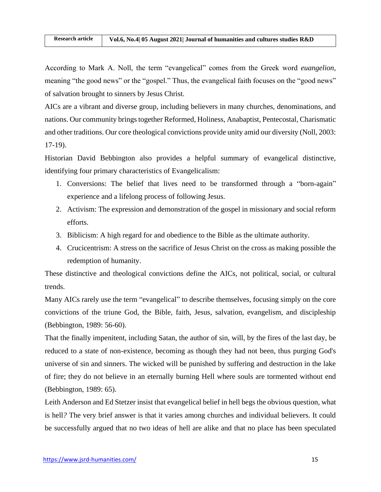According to Mark A. Noll, the term "evangelical" comes from the Greek word *euangelion*, meaning "the good news" or the "gospel." Thus, the evangelical faith focuses on the "good news" of salvation brought to sinners by Jesus Christ.

AICs are a vibrant and diverse group, including believers in many churches, denominations, and nations. Our community brings together Reformed, Holiness, Anabaptist, Pentecostal, Charismatic and other traditions. Our core theological convictions provide unity amid our diversity (Noll, 2003: 17-19).

Historian David Bebbington also provides a helpful summary of evangelical distinctive, identifying four primary characteristics of Evangelicalism:

- 1. Conversions: The belief that lives need to be transformed through a "born-again" experience and a lifelong process of following Jesus.
- 2. Activism: The expression and demonstration of the gospel in missionary and social reform efforts.
- 3. Biblicism: A high regard for and obedience to the Bible as the ultimate authority.
- 4. Crucicentrism: A stress on the sacrifice of Jesus Christ on the cross as making possible the redemption of humanity.

These distinctive and theological convictions define the AICs, not political, social, or cultural trends.

Many AICs rarely use the term "evangelical" to describe themselves, focusing simply on the core convictions of the triune God, the Bible, faith, Jesus, salvation, evangelism, and discipleship (Bebbington, 1989: 56-60).

That the finally impenitent, including Satan, the author of sin, will, by the fires of the last day, be reduced to a state of non-existence, becoming as though they had not been, thus purging God's universe of sin and sinners. The wicked will be punished by suffering and destruction in the lake of fire; they do not believe in an eternally burning Hell where souls are tormented without end (Bebbington, 1989: 65).

Leith Anderson and Ed Stetzer insist that evangelical belief in hell begs the obvious question, what is hell*?* The very brief answer is that it varies among churches and individual believers. It could be successfully argued that no two ideas of hell are alike and that no place has been speculated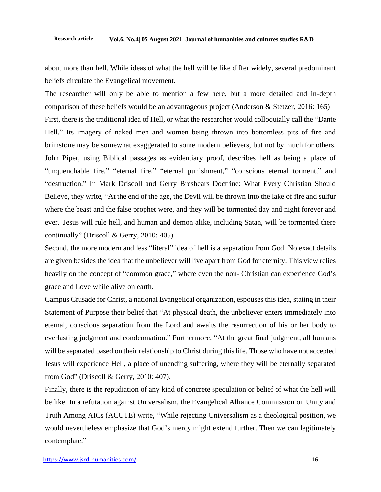about more than hell. While ideas of what the hell will be like differ widely, several predominant beliefs circulate the Evangelical movement.

The researcher will only be able to mention a few here, but a more detailed and in-depth comparison of these beliefs would be an advantageous project (Anderson & Stetzer, 2016: 165) First, there is the traditional idea of Hell, or what the researcher would colloquially call the "Dante Hell." Its imagery of naked men and women being thrown into bottomless pits of fire and brimstone may be somewhat exaggerated to some modern believers, but not by much for others. John Piper, using Biblical passages as evidentiary proof, describes hell as being a place of "unquenchable fire," "eternal fire," "eternal punishment," "conscious eternal torment," and "destruction." In Mark Driscoll and Gerry Breshears Doctrine: What Every Christian Should Believe, they write, "At the end of the age, the Devil will be thrown into the lake of fire and sulfur where the beast and the false prophet were, and they will be tormented day and night forever and ever.' Jesus will rule hell, and human and demon alike, including Satan, will be tormented there continually" (Driscoll & Gerry, 2010: 405)

Second, the more modern and less "literal" idea of hell is a separation from God. No exact details are given besides the idea that the unbeliever will live apart from God for eternity. This view relies heavily on the concept of "common grace," where even the non- Christian can experience God's grace and Love while alive on earth.

Campus Crusade for Christ, a national Evangelical organization, espouses this idea, stating in their Statement of Purpose their belief that "At physical death, the unbeliever enters immediately into eternal, conscious separation from the Lord and awaits the resurrection of his or her body to everlasting judgment and condemnation." Furthermore, "At the great final judgment, all humans will be separated based on their relationship to Christ during this life. Those who have not accepted Jesus will experience Hell, a place of unending suffering, where they will be eternally separated from God" (Driscoll & Gerry, 2010: 407).

Finally, there is the repudiation of any kind of concrete speculation or belief of what the hell will be like. In a refutation against Universalism, the Evangelical Alliance Commission on Unity and Truth Among AICs (ACUTE) write, "While rejecting Universalism as a theological position, we would nevertheless emphasize that God's mercy might extend further. Then we can legitimately contemplate."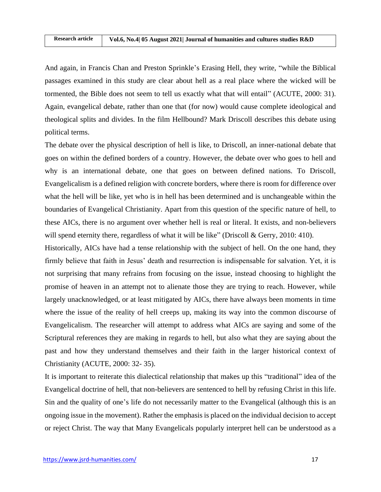And again, in Francis Chan and Preston Sprinkle's Erasing Hell, they write, "while the Biblical passages examined in this study are clear about hell as a real place where the wicked will be tormented, the Bible does not seem to tell us exactly what that will entail" (ACUTE, 2000: 31). Again, evangelical debate, rather than one that (for now) would cause complete ideological and theological splits and divides. In the film Hellbound? Mark Driscoll describes this debate using political terms.

The debate over the physical description of hell is like, to Driscoll, an inner-national debate that goes on within the defined borders of a country. However, the debate over who goes to hell and why is an international debate, one that goes on between defined nations. To Driscoll, Evangelicalism is a defined religion with concrete borders, where there is room for difference over what the hell will be like, yet who is in hell has been determined and is unchangeable within the boundaries of Evangelical Christianity. Apart from this question of the specific nature of hell, to these AICs, there is no argument over whether hell is real or literal. It exists, and non-believers will spend eternity there, regardless of what it will be like" (Driscoll & Gerry, 2010: 410).

Historically, AICs have had a tense relationship with the subject of hell. On the one hand, they firmly believe that faith in Jesus' death and resurrection is indispensable for salvation. Yet, it is not surprising that many refrains from focusing on the issue, instead choosing to highlight the promise of heaven in an attempt not to alienate those they are trying to reach. However, while largely unacknowledged, or at least mitigated by AICs, there have always been moments in time where the issue of the reality of hell creeps up, making its way into the common discourse of Evangelicalism. The researcher will attempt to address what AICs are saying and some of the Scriptural references they are making in regards to hell, but also what they are saying about the past and how they understand themselves and their faith in the larger historical context of Christianity (ACUTE, 2000: 32- 35).

It is important to reiterate this dialectical relationship that makes up this "traditional" idea of the Evangelical doctrine of hell, that non-believers are sentenced to hell by refusing Christ in this life. Sin and the quality of one's life do not necessarily matter to the Evangelical (although this is an ongoing issue in the movement). Rather the emphasis is placed on the individual decision to accept or reject Christ. The way that Many Evangelicals popularly interpret hell can be understood as a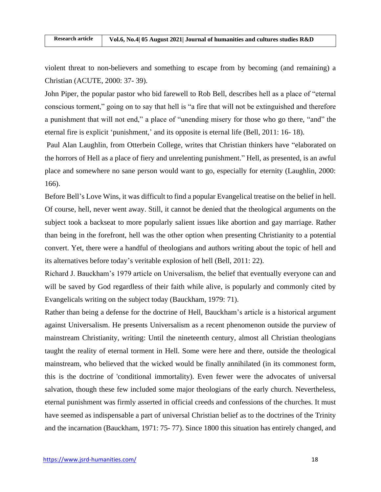violent threat to non-believers and something to escape from by becoming (and remaining) a Christian (ACUTE, 2000: 37- 39).

John Piper, the popular pastor who bid farewell to Rob Bell, describes hell as a place of "eternal conscious torment," going on to say that hell is "a fire that will not be extinguished and therefore a punishment that will not end," a place of "unending misery for those who go there, "and" the eternal fire is explicit 'punishment,' and its opposite is eternal life (Bell, 2011: 16- 18).

Paul Alan Laughlin, from Otterbein College, writes that Christian thinkers have "elaborated on the horrors of Hell as a place of fiery and unrelenting punishment." Hell, as presented, is an awful place and somewhere no sane person would want to go, especially for eternity (Laughlin, 2000: 166).

Before Bell's Love Wins, it was difficult to find a popular Evangelical treatise on the belief in hell. Of course, hell, never went away. Still, it cannot be denied that the theological arguments on the subject took a backseat to more popularly salient issues like abortion and gay marriage. Rather than being in the forefront, hell was the other option when presenting Christianity to a potential convert. Yet, there were a handful of theologians and authors writing about the topic of hell and its alternatives before today's veritable explosion of hell (Bell, 2011: 22).

Richard J. Bauckham's 1979 article on Universalism, the belief that eventually everyone can and will be saved by God regardless of their faith while alive, is popularly and commonly cited by Evangelicals writing on the subject today (Bauckham, 1979: 71).

Rather than being a defense for the doctrine of Hell, Bauckham's article is a historical argument against Universalism. He presents Universalism as a recent phenomenon outside the purview of mainstream Christianity, writing: Until the nineteenth century, almost all Christian theologians taught the reality of eternal torment in Hell. Some were here and there, outside the theological mainstream, who believed that the wicked would be finally annihilated (in its commonest form, this is the doctrine of 'conditional immortality). Even fewer were the advocates of universal salvation, though these few included some major theologians of the early church. Nevertheless, eternal punishment was firmly asserted in official creeds and confessions of the churches. It must have seemed as indispensable a part of universal Christian belief as to the doctrines of the Trinity and the incarnation (Bauckham, 1971: 75- 77). Since 1800 this situation has entirely changed, and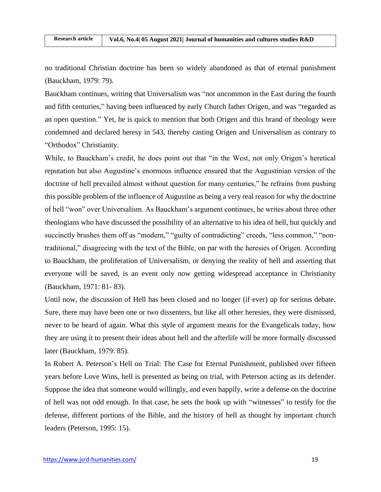no traditional Christian doctrine has been so widely abandoned as that of eternal punishment (Bauckham, 1979: 79).

Bauckham continues, writing that Universalism was "not uncommon in the East during the fourth and fifth centuries," having been influenced by early Church father Origen, and was "regarded as an open question." Yet, he is quick to mention that both Origen and this brand of theology were condemned and declared heresy in 543, thereby casting Origen and Universalism as contrary to "Orthodox" Christianity.

While, to Bauckham's credit, he does point out that "in the West, not only Origen's heretical reputation but also Augustine's enormous influence ensured that the Augustinian version of the doctrine of hell prevailed almost without question for many centuries," he refrains from pushing this possible problem of the influence of Augustine as being a very real reason for why the doctrine of hell "won" over Universalism. As Bauckham's argument continues, he writes about three other theologians who have discussed the possibility of an alternative to his idea of hell, but quickly and succinctly brushes them off as "modern," "guilty of contradicting" creeds, "less common," "nontraditional," disagreeing with the text of the Bible, on par with the heresies of Origen. According to Bauckham, the proliferation of Universalism, or denying the reality of hell and asserting that everyone will be saved, is an event only now getting widespread acceptance in Christianity (Bauckham, 1971: 81- 83).

Until now, the discussion of Hell has been closed and no longer (if ever) up for serious debate. Sure, there may have been one or two dissenters, but like all other heresies, they were dismissed, never to be heard of again. What this style of argument means for the Evangelicals today, how they are using it to present their ideas about hell and the afterlife will be more formally discussed later (Bauckham, 1979: 85).

In Robert A. Peterson's Hell on Trial: The Case for Eternal Punishment, published over fifteen years before Love Wins, hell is presented as being on trial, with Peterson acting as its defender. Suppose the idea that someone would willingly, and even happily, write a defense on the doctrine of hell was not odd enough. In that case, he sets the book up with "witnesses" to testify for the defense, different portions of the Bible, and the history of hell as thought by important church leaders (Peterson, 1995: 15).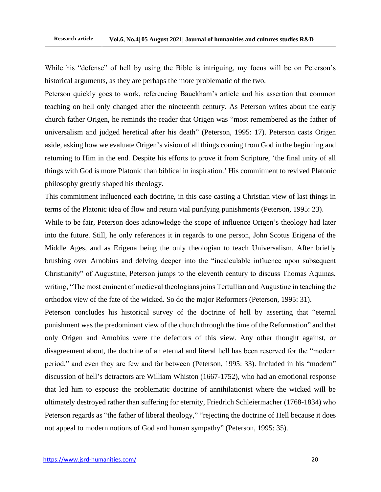While his "defense" of hell by using the Bible is intriguing, my focus will be on Peterson's historical arguments, as they are perhaps the more problematic of the two.

Peterson quickly goes to work, referencing Bauckham's article and his assertion that common teaching on hell only changed after the nineteenth century. As Peterson writes about the early church father Origen, he reminds the reader that Origen was "most remembered as the father of universalism and judged heretical after his death" (Peterson, 1995: 17). Peterson casts Origen aside, asking how we evaluate Origen's vision of all things coming from God in the beginning and returning to Him in the end. Despite his efforts to prove it from Scripture, 'the final unity of all things with God is more Platonic than biblical in inspiration.' His commitment to revived Platonic philosophy greatly shaped his theology.

This commitment influenced each doctrine, in this case casting a Christian view of last things in terms of the Platonic idea of flow and return vial purifying punishments (Peterson, 1995: 23).

While to be fair, Peterson does acknowledge the scope of influence Origen's theology had later into the future. Still, he only references it in regards to one person, John Scotus Erigena of the Middle Ages, and as Erigena being the only theologian to teach Universalism. After briefly brushing over Arnobius and delving deeper into the "incalculable influence upon subsequent Christianity" of Augustine, Peterson jumps to the eleventh century to discuss Thomas Aquinas, writing, "The most eminent of medieval theologians joins Tertullian and Augustine in teaching the orthodox view of the fate of the wicked. So do the major Reformers (Peterson, 1995: 31).

Peterson concludes his historical survey of the doctrine of hell by asserting that "eternal punishment was the predominant view of the church through the time of the Reformation" and that only Origen and Arnobius were the defectors of this view. Any other thought against, or disagreement about, the doctrine of an eternal and literal hell has been reserved for the "modern period," and even they are few and far between (Peterson, 1995: 33). Included in his "modern" discussion of hell's detractors are William Whiston (1667-1752), who had an emotional response that led him to espouse the problematic doctrine of annihilationist where the wicked will be ultimately destroyed rather than suffering for eternity, Friedrich Schleiermacher (1768-1834) who Peterson regards as "the father of liberal theology," "rejecting the doctrine of Hell because it does not appeal to modern notions of God and human sympathy" (Peterson, 1995: 35).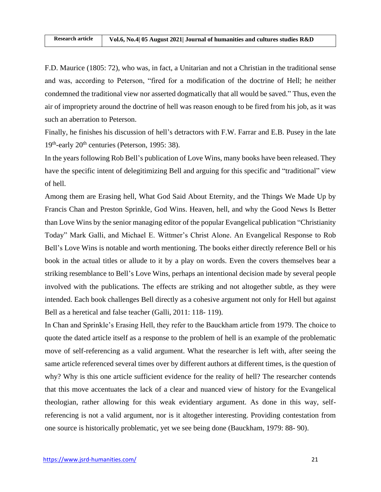F.D. Maurice (1805: 72), who was, in fact, a Unitarian and not a Christian in the traditional sense and was, according to Peterson, "fired for a modification of the doctrine of Hell; he neither condemned the traditional view nor asserted dogmatically that all would be saved." Thus, even the air of impropriety around the doctrine of hell was reason enough to be fired from his job, as it was such an aberration to Peterson.

Finally, he finishes his discussion of hell's detractors with F.W. Farrar and E.B. Pusey in the late 19<sup>th</sup>-early 20<sup>th</sup> centuries (Peterson, 1995: 38).

In the years following Rob Bell's publication of Love Wins, many books have been released. They have the specific intent of delegitimizing Bell and arguing for this specific and "traditional" view of hell.

Among them are Erasing hell, What God Said About Eternity, and the Things We Made Up by Francis Chan and Preston Sprinkle, God Wins. Heaven, hell, and why the Good News Is Better than Love Wins by the senior managing editor of the popular Evangelical publication "Christianity Today" Mark Galli, and Michael E. Wittmer's Christ Alone. An Evangelical Response to Rob Bell's Love Wins is notable and worth mentioning. The books either directly reference Bell or his book in the actual titles or allude to it by a play on words. Even the covers themselves bear a striking resemblance to Bell's Love Wins, perhaps an intentional decision made by several people involved with the publications. The effects are striking and not altogether subtle, as they were intended. Each book challenges Bell directly as a cohesive argument not only for Hell but against Bell as a heretical and false teacher (Galli, 2011: 118- 119).

In Chan and Sprinkle's Erasing Hell, they refer to the Bauckham article from 1979. The choice to quote the dated article itself as a response to the problem of hell is an example of the problematic move of self-referencing as a valid argument. What the researcher is left with, after seeing the same article referenced several times over by different authors at different times, is the question of why? Why is this one article sufficient evidence for the reality of hell? The researcher contends that this move accentuates the lack of a clear and nuanced view of history for the Evangelical theologian, rather allowing for this weak evidentiary argument. As done in this way, selfreferencing is not a valid argument, nor is it altogether interesting. Providing contestation from one source is historically problematic, yet we see being done (Bauckham, 1979: 88- 90).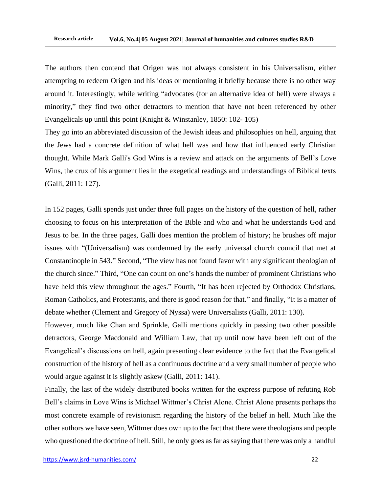The authors then contend that Origen was not always consistent in his Universalism, either attempting to redeem Origen and his ideas or mentioning it briefly because there is no other way around it. Interestingly, while writing "advocates (for an alternative idea of hell) were always a minority," they find two other detractors to mention that have not been referenced by other Evangelicals up until this point (Knight & Winstanley, 1850: 102- 105)

They go into an abbreviated discussion of the Jewish ideas and philosophies on hell, arguing that the Jews had a concrete definition of what hell was and how that influenced early Christian thought. While Mark Galli's God Wins is a review and attack on the arguments of Bell's Love Wins, the crux of his argument lies in the exegetical readings and understandings of Biblical texts (Galli, 2011: 127).

In 152 pages, Galli spends just under three full pages on the history of the question of hell, rather choosing to focus on his interpretation of the Bible and who and what he understands God and Jesus to be. In the three pages, Galli does mention the problem of history; he brushes off major issues with "(Universalism) was condemned by the early universal church council that met at Constantinople in 543." Second, "The view has not found favor with any significant theologian of the church since." Third, "One can count on one's hands the number of prominent Christians who have held this view throughout the ages." Fourth, "It has been rejected by Orthodox Christians, Roman Catholics, and Protestants, and there is good reason for that." and finally, "It is a matter of debate whether (Clement and Gregory of Nyssa) were Universalists (Galli, 2011: 130).

However, much like Chan and Sprinkle, Galli mentions quickly in passing two other possible detractors, George Macdonald and William Law, that up until now have been left out of the Evangelical's discussions on hell, again presenting clear evidence to the fact that the Evangelical construction of the history of hell as a continuous doctrine and a very small number of people who would argue against it is slightly askew (Galli, 2011: 141).

Finally, the last of the widely distributed books written for the express purpose of refuting Rob Bell's claims in Love Wins is Michael Wittmer's Christ Alone. Christ Alone presents perhaps the most concrete example of revisionism regarding the history of the belief in hell. Much like the other authors we have seen, Wittmer does own up to the fact that there were theologians and people who questioned the doctrine of hell. Still, he only goes as far as saying that there was only a handful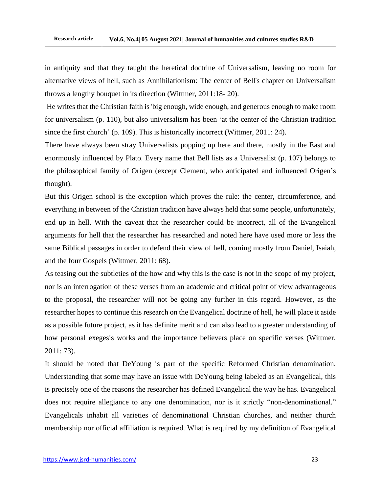in antiquity and that they taught the heretical doctrine of Universalism, leaving no room for alternative views of hell, such as Annihilationism: The center of Bell's chapter on Universalism throws a lengthy bouquet in its direction (Wittmer, 2011:18- 20).

He writes that the Christian faith is 'big enough, wide enough, and generous enough to make room for universalism (p. 110), but also universalism has been 'at the center of the Christian tradition since the first church' (p. 109). This is historically incorrect (Wittmer, 2011: 24).

There have always been stray Universalists popping up here and there, mostly in the East and enormously influenced by Plato. Every name that Bell lists as a Universalist (p. 107) belongs to the philosophical family of Origen (except Clement, who anticipated and influenced Origen's thought).

But this Origen school is the exception which proves the rule: the center, circumference, and everything in between of the Christian tradition have always held that some people, unfortunately, end up in hell. With the caveat that the researcher could be incorrect, all of the Evangelical arguments for hell that the researcher has researched and noted here have used more or less the same Biblical passages in order to defend their view of hell, coming mostly from Daniel, Isaiah, and the four Gospels (Wittmer, 2011: 68).

As teasing out the subtleties of the how and why this is the case is not in the scope of my project, nor is an interrogation of these verses from an academic and critical point of view advantageous to the proposal, the researcher will not be going any further in this regard. However, as the researcher hopes to continue this research on the Evangelical doctrine of hell, he will place it aside as a possible future project, as it has definite merit and can also lead to a greater understanding of how personal exegesis works and the importance believers place on specific verses (Wittmer, 2011: 73).

It should be noted that DeYoung is part of the specific Reformed Christian denomination. Understanding that some may have an issue with DeYoung being labeled as an Evangelical, this is precisely one of the reasons the researcher has defined Evangelical the way he has. Evangelical does not require allegiance to any one denomination, nor is it strictly "non-denominational." Evangelicals inhabit all varieties of denominational Christian churches, and neither church membership nor official affiliation is required. What is required by my definition of Evangelical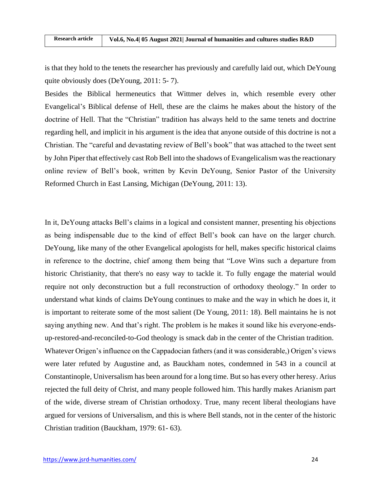is that they hold to the tenets the researcher has previously and carefully laid out, which DeYoung quite obviously does (DeYoung, 2011: 5- 7).

Besides the Biblical hermeneutics that Wittmer delves in, which resemble every other Evangelical's Biblical defense of Hell, these are the claims he makes about the history of the doctrine of Hell. That the "Christian" tradition has always held to the same tenets and doctrine regarding hell, and implicit in his argument is the idea that anyone outside of this doctrine is not a Christian. The "careful and devastating review of Bell's book" that was attached to the tweet sent by John Piper that effectively cast Rob Bell into the shadows of Evangelicalism was the reactionary online review of Bell's book, written by Kevin DeYoung, Senior Pastor of the University Reformed Church in East Lansing, Michigan (DeYoung, 2011: 13).

In it, DeYoung attacks Bell's claims in a logical and consistent manner, presenting his objections as being indispensable due to the kind of effect Bell's book can have on the larger church. DeYoung, like many of the other Evangelical apologists for hell, makes specific historical claims in reference to the doctrine, chief among them being that "Love Wins such a departure from historic Christianity, that there's no easy way to tackle it. To fully engage the material would require not only deconstruction but a full reconstruction of orthodoxy theology." In order to understand what kinds of claims DeYoung continues to make and the way in which he does it, it is important to reiterate some of the most salient (De Young, 2011: 18). Bell maintains he is not saying anything new. And that's right. The problem is he makes it sound like his everyone-endsup-restored-and-reconciled-to-God theology is smack dab in the center of the Christian tradition. Whatever Origen's influence on the Cappadocian fathers (and it was considerable,) Origen's views were later refuted by Augustine and, as Bauckham notes, condemned in 543 in a council at Constantinople, Universalism has been around for a long time. But so has every other heresy. Arius rejected the full deity of Christ, and many people followed him. This hardly makes Arianism part of the wide, diverse stream of Christian orthodoxy. True, many recent liberal theologians have argued for versions of Universalism, and this is where Bell stands, not in the center of the historic Christian tradition (Bauckham, 1979: 61- 63).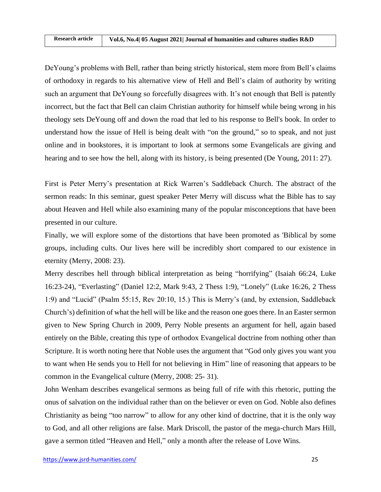DeYoung's problems with Bell, rather than being strictly historical, stem more from Bell's claims of orthodoxy in regards to his alternative view of Hell and Bell's claim of authority by writing such an argument that DeYoung so forcefully disagrees with. It's not enough that Bell is patently incorrect, but the fact that Bell can claim Christian authority for himself while being wrong in his theology sets DeYoung off and down the road that led to his response to Bell's book. In order to understand how the issue of Hell is being dealt with "on the ground," so to speak, and not just online and in bookstores, it is important to look at sermons some Evangelicals are giving and hearing and to see how the hell, along with its history, is being presented (De Young, 2011: 27).

First is Peter Merry's presentation at Rick Warren's Saddleback Church. The abstract of the sermon reads: In this seminar, guest speaker Peter Merry will discuss what the Bible has to say about Heaven and Hell while also examining many of the popular misconceptions that have been presented in our culture.

Finally, we will explore some of the distortions that have been promoted as 'Biblical by some groups, including cults. Our lives here will be incredibly short compared to our existence in eternity (Merry, 2008: 23).

Merry describes hell through biblical interpretation as being "horrifying" (Isaiah 66:24, Luke 16:23-24), "Everlasting" (Daniel 12:2, Mark 9:43, 2 Thess 1:9), "Lonely" (Luke 16:26, 2 Thess 1:9) and "Lucid" (Psalm 55:15, Rev 20:10, 15.) This is Merry's (and, by extension, Saddleback Church's) definition of what the hell will be like and the reason one goes there. In an Easter sermon given to New Spring Church in 2009, Perry Noble presents an argument for hell, again based entirely on the Bible, creating this type of orthodox Evangelical doctrine from nothing other than Scripture. It is worth noting here that Noble uses the argument that "God only gives you want you to want when He sends you to Hell for not believing in Him" line of reasoning that appears to be common in the Evangelical culture (Merry, 2008: 25- 31).

John Wenham describes evangelical sermons as being full of rife with this rhetoric, putting the onus of salvation on the individual rather than on the believer or even on God. Noble also defines Christianity as being "too narrow" to allow for any other kind of doctrine, that it is the only way to God, and all other religions are false. Mark Driscoll, the pastor of the mega-church Mars Hill, gave a sermon titled "Heaven and Hell," only a month after the release of Love Wins.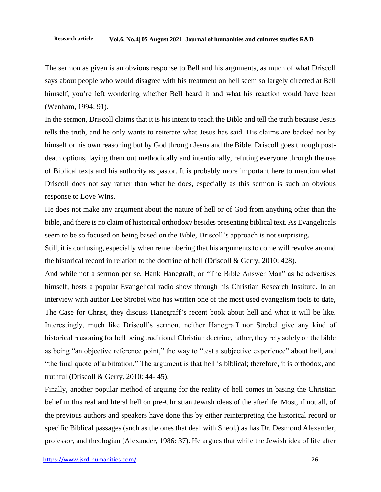The sermon as given is an obvious response to Bell and his arguments, as much of what Driscoll says about people who would disagree with his treatment on hell seem so largely directed at Bell himself, you're left wondering whether Bell heard it and what his reaction would have been (Wenham, 1994: 91).

In the sermon, Driscoll claims that it is his intent to teach the Bible and tell the truth because Jesus tells the truth, and he only wants to reiterate what Jesus has said. His claims are backed not by himself or his own reasoning but by God through Jesus and the Bible. Driscoll goes through postdeath options, laying them out methodically and intentionally, refuting everyone through the use of Biblical texts and his authority as pastor. It is probably more important here to mention what Driscoll does not say rather than what he does, especially as this sermon is such an obvious response to Love Wins.

He does not make any argument about the nature of hell or of God from anything other than the bible, and there is no claim of historical orthodoxy besides presenting biblical text. As Evangelicals seem to be so focused on being based on the Bible, Driscoll's approach is not surprising.

Still, it is confusing, especially when remembering that his arguments to come will revolve around the historical record in relation to the doctrine of hell (Driscoll & Gerry, 2010: 428).

And while not a sermon per se, Hank Hanegraff, or "The Bible Answer Man" as he advertises himself, hosts a popular Evangelical radio show through his Christian Research Institute. In an interview with author Lee Strobel who has written one of the most used evangelism tools to date, The Case for Christ, they discuss Hanegraff's recent book about hell and what it will be like. Interestingly, much like Driscoll's sermon, neither Hanegraff nor Strobel give any kind of historical reasoning for hell being traditional Christian doctrine, rather, they rely solely on the bible as being "an objective reference point," the way to "test a subjective experience" about hell, and "the final quote of arbitration." The argument is that hell is biblical; therefore, it is orthodox, and truthful (Driscoll & Gerry, 2010: 44- 45).

Finally, another popular method of arguing for the reality of hell comes in basing the Christian belief in this real and literal hell on pre-Christian Jewish ideas of the afterlife. Most, if not all, of the previous authors and speakers have done this by either reinterpreting the historical record or specific Biblical passages (such as the ones that deal with Sheol,) as has Dr. Desmond Alexander, professor, and theologian (Alexander, 1986: 37). He argues that while the Jewish idea of life after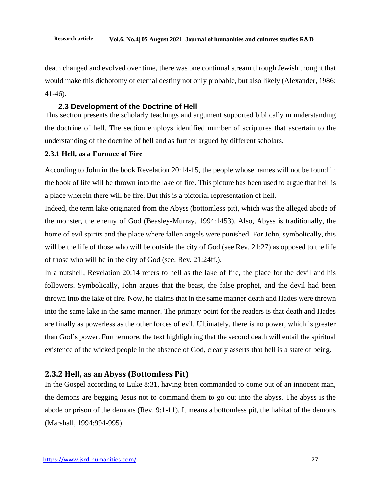death changed and evolved over time, there was one continual stream through Jewish thought that would make this dichotomy of eternal destiny not only probable, but also likely (Alexander, 1986: 41-46).

## **2.3 Development of the Doctrine of Hell**

This section presents the scholarly teachings and argument supported biblically in understanding the doctrine of hell. The section employs identified number of scriptures that ascertain to the understanding of the doctrine of hell and as further argued by different scholars.

### **2.3.1 Hell, as a Furnace of Fire**

According to John in the book Revelation 20:14-15, the people whose names will not be found in the book of life will be thrown into the lake of fire. This picture has been used to argue that hell is a place wherein there will be fire. But this is a pictorial representation of hell.

Indeed, the term lake originated from the Abyss (bottomless pit), which was the alleged abode of the monster, the enemy of God (Beasley-Murray, 1994:1453). Also, Abyss is traditionally, the home of evil spirits and the place where fallen angels were punished. For John, symbolically, this will be the life of those who will be outside the city of God (see Rev. 21:27) as opposed to the life of those who will be in the city of God (see. Rev. 21:24ff.).

In a nutshell, Revelation 20:14 refers to hell as the lake of fire, the place for the devil and his followers. Symbolically, John argues that the beast, the false prophet, and the devil had been thrown into the lake of fire. Now, he claims that in the same manner death and Hades were thrown into the same lake in the same manner. The primary point for the readers is that death and Hades are finally as powerless as the other forces of evil. Ultimately, there is no power, which is greater than God's power. Furthermore, the text highlighting that the second death will entail the spiritual existence of the wicked people in the absence of God, clearly asserts that hell is a state of being.

# **2.3.2 Hell, as an Abyss (Bottomless Pit)**

In the Gospel according to Luke 8:31, having been commanded to come out of an innocent man, the demons are begging Jesus not to command them to go out into the abyss. The abyss is the abode or prison of the demons (Rev. 9:1-11). It means a bottomless pit, the habitat of the demons (Marshall, 1994:994-995).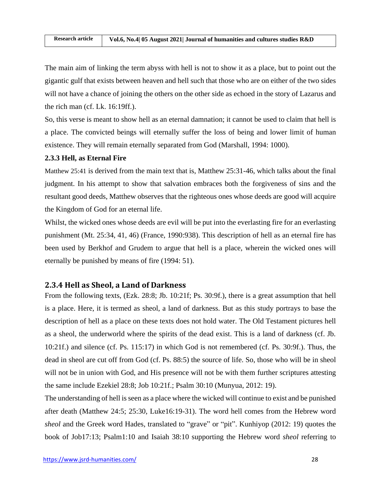The main aim of linking the term abyss with hell is not to show it as a place, but to point out the gigantic gulf that exists between heaven and hell such that those who are on either of the two sides will not have a chance of joining the others on the other side as echoed in the story of Lazarus and the rich man (cf. Lk. 16:19ff.).

So, this verse is meant to show hell as an eternal damnation; it cannot be used to claim that hell is a place. The convicted beings will eternally suffer the loss of being and lower limit of human existence. They will remain eternally separated from God (Marshall, 1994: 1000).

## **2.3.3 Hell, as Eternal Fire**

Matthew 25:41 is derived from the main text that is, Matthew 25:31-46, which talks about the final judgment. In his attempt to show that salvation embraces both the forgiveness of sins and the resultant good deeds, Matthew observes that the righteous ones whose deeds are good will acquire the Kingdom of God for an eternal life.

Whilst, the wicked ones whose deeds are evil will be put into the everlasting fire for an everlasting punishment (Mt. 25:34, 41, 46) (France, 1990:938). This description of hell as an eternal fire has been used by Berkhof and Grudem to argue that hell is a place, wherein the wicked ones will eternally be punished by means of fire (1994: 51).

# **2.3.4 Hell as Sheol, a Land of Darkness**

From the following texts, (Ezk. 28:8; Jb. 10:21f; Ps. 30:9f.), there is a great assumption that hell is a place. Here, it is termed as sheol, a land of darkness. But as this study portrays to base the description of hell as a place on these texts does not hold water. The Old Testament pictures hell as a sheol, the underworld where the spirits of the dead exist. This is a land of darkness (cf. Jb. 10:21f.) and silence (cf. Ps. 115:17) in which God is not remembered (cf. Ps. 30:9f.). Thus, the dead in sheol are cut off from God (cf. Ps. 88:5) the source of life. So, those who will be in sheol will not be in union with God, and His presence will not be with them further scriptures attesting the same include Ezekiel 28:8; Job 10:21f.; Psalm 30:10 (Munyua, 2012: 19).

The understanding of hell is seen as a place where the wicked will continue to exist and be punished after death (Matthew 24:5; 25:30, Luke16:19-31). The word hell comes from the Hebrew word *sheol* and the Greek word Hades, translated to "grave" or "pit". Kunhiyop (2012: 19) quotes the book of Job17:13; Psalm1:10 and Isaiah 38:10 supporting the Hebrew word *sheol* referring to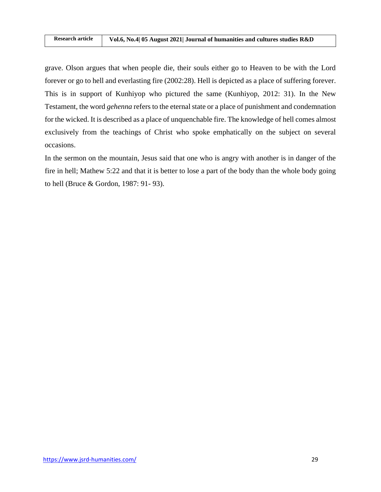grave. Olson argues that when people die, their souls either go to Heaven to be with the Lord forever or go to hell and everlasting fire (2002:28). Hell is depicted as a place of suffering forever. This is in support of Kunhiyop who pictured the same (Kunhiyop, 2012: 31). In the New Testament, the word *gehenna* refers to the eternal state or a place of punishment and condemnation for the wicked. It is described as a place of unquenchable fire. The knowledge of hell comes almost exclusively from the teachings of Christ who spoke emphatically on the subject on several occasions.

In the sermon on the mountain, Jesus said that one who is angry with another is in danger of the fire in hell; Mathew 5:22 and that it is better to lose a part of the body than the whole body going to hell (Bruce & Gordon, 1987: 91- 93).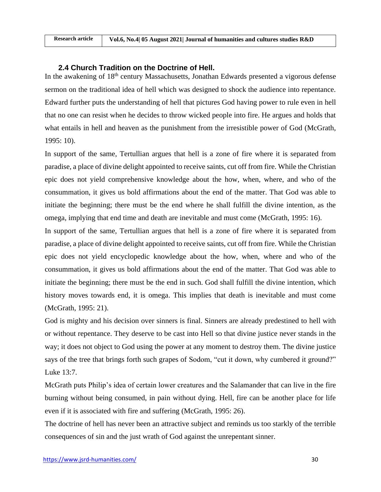## **2.4 Church Tradition on the Doctrine of Hell.**

In the awakening of 18<sup>th</sup> century Massachusetts, Jonathan Edwards presented a vigorous defense sermon on the traditional idea of hell which was designed to shock the audience into repentance. Edward further puts the understanding of hell that pictures God having power to rule even in hell that no one can resist when he decides to throw wicked people into fire. He argues and holds that what entails in hell and heaven as the punishment from the irresistible power of God (McGrath, 1995: 10).

In support of the same, Tertullian argues that hell is a zone of fire where it is separated from paradise, a place of divine delight appointed to receive saints, cut off from fire. While the Christian epic does not yield comprehensive knowledge about the how, when, where, and who of the consummation, it gives us bold affirmations about the end of the matter. That God was able to initiate the beginning; there must be the end where he shall fulfill the divine intention, as the omega, implying that end time and death are inevitable and must come (McGrath, 1995: 16).

In support of the same, Tertullian argues that hell is a zone of fire where it is separated from paradise, a place of divine delight appointed to receive saints, cut off from fire. While the Christian epic does not yield encyclopedic knowledge about the how, when, where and who of the consummation, it gives us bold affirmations about the end of the matter. That God was able to initiate the beginning; there must be the end in such. God shall fulfill the divine intention, which history moves towards end, it is omega. This implies that death is inevitable and must come (McGrath, 1995: 21).

God is mighty and his decision over sinners is final. Sinners are already predestined to hell with or without repentance. They deserve to be cast into Hell so that divine justice never stands in the way; it does not object to God using the power at any moment to destroy them. The divine justice says of the tree that brings forth such grapes of Sodom, "cut it down, why cumbered it ground?" Luke 13:7.

McGrath puts Philip's idea of certain lower creatures and the Salamander that can live in the fire burning without being consumed, in pain without dying. Hell, fire can be another place for life even if it is associated with fire and suffering (McGrath, 1995: 26).

The doctrine of hell has never been an attractive subject and reminds us too starkly of the terrible consequences of sin and the just wrath of God against the unrepentant sinner.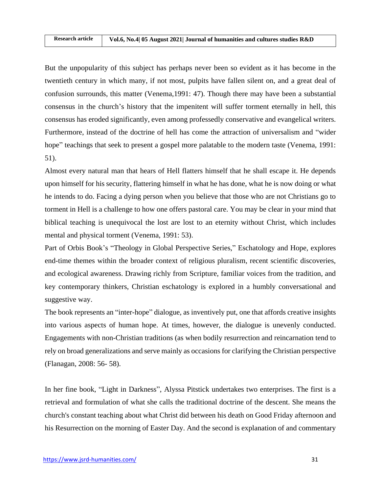But the unpopularity of this subject has perhaps never been so evident as it has become in the twentieth century in which many, if not most, pulpits have fallen silent on, and a great deal of confusion surrounds, this matter (Venema,1991: 47). Though there may have been a substantial consensus in the church's history that the impenitent will suffer torment eternally in hell, this consensus has eroded significantly, even among professedly conservative and evangelical writers. Furthermore, instead of the doctrine of hell has come the attraction of universalism and "wider hope" teachings that seek to present a gospel more palatable to the modern taste (Venema, 1991: 51).

Almost every natural man that hears of Hell flatters himself that he shall escape it. He depends upon himself for his security, flattering himself in what he has done, what he is now doing or what he intends to do. Facing a dying person when you believe that those who are not Christians go to torment in Hell is a challenge to how one offers pastoral care. You may be clear in your mind that biblical teaching is unequivocal the lost are lost to an eternity without Christ, which includes mental and physical torment (Venema, 1991: 53).

Part of Orbis Book's "Theology in Global Perspective Series," Eschatology and Hope, explores end-time themes within the broader context of religious pluralism, recent scientific discoveries, and ecological awareness. Drawing richly from Scripture, familiar voices from the tradition, and key contemporary thinkers, Christian eschatology is explored in a humbly conversational and suggestive way.

The book represents an "inter-hope" dialogue, as inventively put, one that affords creative insights into various aspects of human hope. At times, however, the dialogue is unevenly conducted. Engagements with non-Christian traditions (as when bodily resurrection and reincarnation tend to rely on broad generalizations and serve mainly as occasions for clarifying the Christian perspective (Flanagan, 2008: 56- 58).

In her fine book, "Light in Darkness", Alyssa Pitstick undertakes two enterprises. The first is a retrieval and formulation of what she calls the traditional doctrine of the descent. She means the church's constant teaching about what Christ did between his death on Good Friday afternoon and his Resurrection on the morning of Easter Day. And the second is explanation of and commentary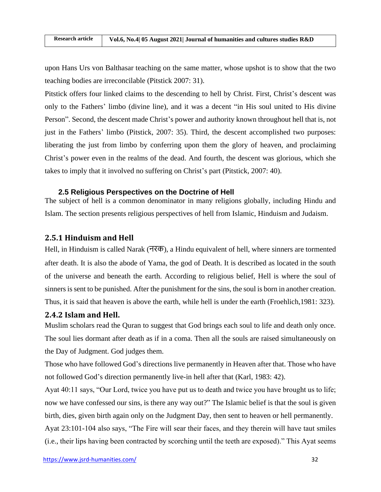upon Hans Urs von Balthasar teaching on the same matter, whose upshot is to show that the two teaching bodies are irreconcilable (Pitstick 2007: 31).

Pitstick offers four linked claims to the descending to hell by Christ. First, Christ's descent was only to the Fathers' limbo (divine line), and it was a decent "in His soul united to His divine Person". Second, the descent made Christ's power and authority known throughout hell that is, not just in the Fathers' limbo (Pitstick, 2007: 35). Third, the descent accomplished two purposes: liberating the just from limbo by conferring upon them the glory of heaven, and proclaiming Christ's power even in the realms of the dead. And fourth, the descent was glorious, which she takes to imply that it involved no suffering on Christ's part (Pitstick, 2007: 40).

### **2.5 Religious Perspectives on the Doctrine of Hell**

The subject of hell is a common denominator in many religions globally, including Hindu and Islam. The section presents religious perspectives of hell from Islamic, Hinduism and Judaism.

## **2.5.1 Hinduism and Hell**

Hell, in Hinduism is called Narak (नरक), a Hindu equivalent of hell, where sinners are tormented after death. It is also the abode of Yama, the god of Death. It is described as located in the south of the universe and beneath the earth. According to religious belief, Hell is where the soul of sinners is sent to be punished. After the punishment for the sins, the soul is born in another creation. Thus, it is said that heaven is above the earth, while hell is under the earth (Froehlich,1981: 323).

### **2.4.2 Islam and Hell.**

Muslim scholars read the Quran to suggest that God brings each soul to life and death only once. The soul lies dormant after death as if in a coma. Then all the souls are raised simultaneously on the Day of Judgment. God judges them.

Those who have followed God's directions live permanently in Heaven after that. Those who have not followed God's direction permanently live-in hell after that (Karl, 1983: 42).

Ayat 40:11 says, "Our Lord, twice you have put us to death and twice you have brought us to life; now we have confessed our sins, is there any way out?" The Islamic belief is that the soul is given birth, dies, given birth again only on the Judgment Day, then sent to heaven or hell permanently.

Ayat 23:101-104 also says, "The Fire will sear their faces, and they therein will have taut smiles (i.e., their lips having been contracted by scorching until the teeth are exposed)." This Ayat seems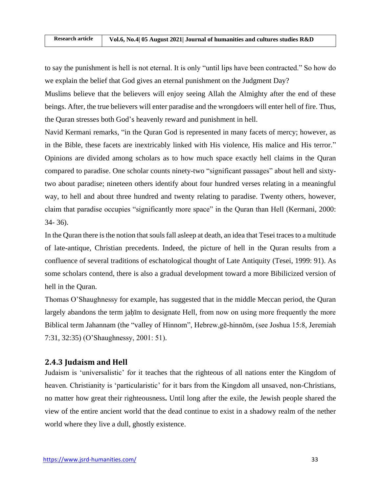to say the punishment is hell is not eternal. It is only "until lips have been contracted." So how do we explain the belief that God gives an eternal punishment on the Judgment Day?

Muslims believe that the believers will enjoy seeing Allah the Almighty after the end of these beings. After, the true believers will enter paradise and the wrongdoers will enter hell of fire. Thus, the Quran stresses both God's heavenly reward and punishment in hell.

Navid Kermani remarks, "in the Quran God is represented in many facets of mercy; however, as in the Bible, these facets are inextricably linked with His violence, His malice and His terror." Opinions are divided among scholars as to how much space exactly hell claims in the Quran compared to paradise. One scholar counts ninety-two "significant passages" about hell and sixtytwo about paradise; nineteen others identify about four hundred verses relating in a meaningful way, to hell and about three hundred and twenty relating to paradise. Twenty others, however, claim that paradise occupies "significantly more space" in the Quran than Hell (Kermani, 2000: 34- 36).

In the Quran there is the notion that souls fall asleep at death, an idea that Tesei traces to a multitude of late-antique, Christian precedents. Indeed, the picture of hell in the Quran results from a confluence of several traditions of eschatological thought of Late Antiquity (Tesei, 1999: 91). As some scholars contend, there is also a gradual development toward a more Bibilicized version of hell in the Quran.

Thomas O'Shaughnessy for example, has suggested that in the middle Meccan period, the Quran largely abandons the term jaḥīm to designate Hell, from now on using more frequently the more Biblical term Jahannam (the "valley of Hinnom", Hebrew,gē-hinnōm, (see Joshua 15:8, Jeremiah 7:31, 32:35) (O'Shaughnessy, 2001: 51).

# **2.4.3 Judaism and Hell**

Judaism is 'universalistic' for it teaches that the righteous of all nations enter the Kingdom of heaven. Christianity is 'particularistic' for it bars from the Kingdom all unsaved, non-Christians, no matter how great their righteousness**.** Until long after the exile, the Jewish people shared the view of the entire ancient world that the dead continue to exist in a shadowy realm of the nether world where they live a dull, ghostly existence.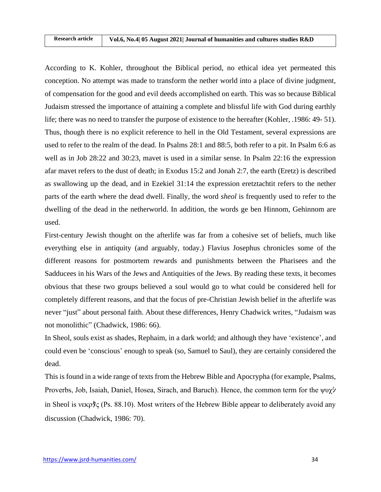According to K. Kohler, throughout the Biblical period, no ethical idea yet permeated this conception. No attempt was made to transform the nether world into a place of divine judgment, of compensation for the good and evil deeds accomplished on earth. This was so because Biblical Judaism stressed the importance of attaining a complete and blissful life with God during earthly life; there was no need to transfer the purpose of existence to the hereafter (Kohler, .1986: 49- 51). Thus, though there is no explicit reference to hell in the Old Testament, several expressions are used to refer to the realm of the dead. In Psalms 28:1 and 88:5, both refer to a pit. In Psalm 6:6 as well as in Job 28:22 and 30:23, mavet is used in a similar sense. In Psalm 22:16 the expression afar mavet refers to the dust of death; in Exodus 15:2 and Jonah 2:7, the earth (Eretz) is described as swallowing up the dead, and in Ezekiel 31:14 the expression eretztachtit refers to the nether parts of the earth where the dead dwell. Finally, the word *sheol* is frequently used to refer to the dwelling of the dead in the netherworld. In addition, the words ge ben Hinnom, Gehinnom are used.

First-century Jewish thought on the afterlife was far from a cohesive set of beliefs, much like everything else in antiquity (and arguably, today.) Flavius Josephus chronicles some of the different reasons for postmortem rewards and punishments between the Pharisees and the Sadducees in his Wars of the Jews and Antiquities of the Jews. By reading these texts, it becomes obvious that these two groups believed a soul would go to what could be considered hell for completely different reasons, and that the focus of pre-Christian Jewish belief in the afterlife was never "just" about personal faith. About these differences, Henry Chadwick writes, "Judaism was not monolithic" (Chadwick, 1986: 66).

In Sheol, souls exist as shades, Rephaim, in a dark world; and although they have 'existence', and could even be 'conscious' enough to speak (so, Samuel to Saul), they are certainly considered the dead.

This is found in a wide range of texts from the Hebrew Bible and Apocrypha (for example, Psalms, Proverbs, Job, Isaiah, Daniel, Hosea, Sirach, and Baruch). Hence, the common term for the ψυχシ in Sheol is νεκρタς (Ps. 88.10). Most writers of the Hebrew Bible appear to deliberately avoid any discussion (Chadwick, 1986: 70).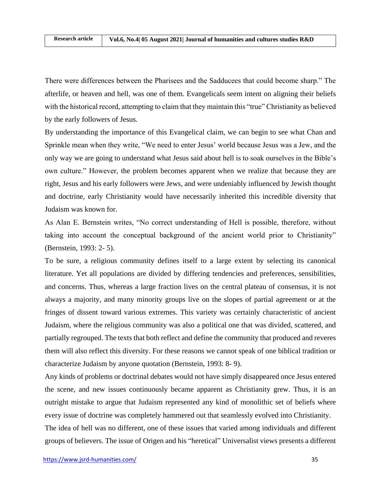There were differences between the Pharisees and the Sadducees that could become sharp." The afterlife, or heaven and hell, was one of them. Evangelicals seem intent on aligning their beliefs with the historical record, attempting to claim that they maintain this "true" Christianity as believed by the early followers of Jesus.

By understanding the importance of this Evangelical claim, we can begin to see what Chan and Sprinkle mean when they write, "We need to enter Jesus' world because Jesus was a Jew, and the only way we are going to understand what Jesus said about hell is to soak ourselves in the Bible's own culture." However, the problem becomes apparent when we realize that because they are right, Jesus and his early followers were Jews, and were undeniably influenced by Jewish thought and doctrine, early Christianity would have necessarily inherited this incredible diversity that Judaism was known for.

As Alan E. Bernstein writes, "No correct understanding of Hell is possible, therefore, without taking into account the conceptual background of the ancient world prior to Christianity" (Bernstein, 1993: 2- 5).

To be sure, a religious community defines itself to a large extent by selecting its canonical literature. Yet all populations are divided by differing tendencies and preferences, sensibilities, and concerns. Thus, whereas a large fraction lives on the central plateau of consensus, it is not always a majority, and many minority groups live on the slopes of partial agreement or at the fringes of dissent toward various extremes. This variety was certainly characteristic of ancient Judaism, where the religious community was also a political one that was divided, scattered, and partially regrouped. The texts that both reflect and define the community that produced and reveres them will also reflect this diversity. For these reasons we cannot speak of one biblical tradition or characterize Judaism by anyone quotation (Bernstein, 1993: 8- 9).

Any kinds of problems or doctrinal debates would not have simply disappeared once Jesus entered the scene, and new issues continuously became apparent as Christianity grew. Thus, it is an outright mistake to argue that Judaism represented any kind of monolithic set of beliefs where every issue of doctrine was completely hammered out that seamlessly evolved into Christianity.

The idea of hell was no different, one of these issues that varied among individuals and different groups of believers. The issue of Origen and his "heretical" Universalist views presents a different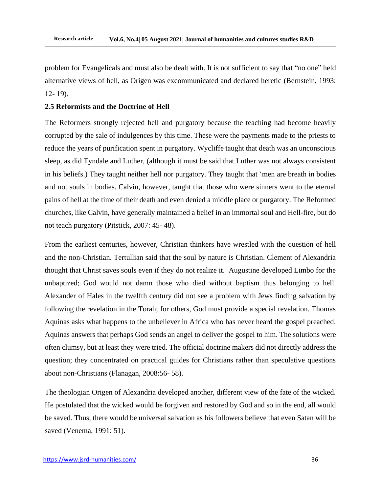problem for Evangelicals and must also be dealt with. It is not sufficient to say that "no one" held alternative views of hell, as Origen was excommunicated and declared heretic (Bernstein, 1993: 12- 19).

### **2.5 Reformists and the Doctrine of Hell**

The Reformers strongly rejected hell and purgatory because the teaching had become heavily corrupted by the sale of indulgences by this time. These were the payments made to the priests to reduce the years of purification spent in purgatory. Wycliffe taught that death was an unconscious sleep, as did Tyndale and Luther, (although it must be said that Luther was not always consistent in his beliefs.) They taught neither hell nor purgatory. They taught that 'men are breath in bodies and not souls in bodies. Calvin, however, taught that those who were sinners went to the eternal pains of hell at the time of their death and even denied a middle place or purgatory. The Reformed churches, like Calvin, have generally maintained a belief in an immortal soul and Hell-fire, but do not teach purgatory (Pitstick, 2007: 45- 48).

From the earliest centuries, however, Christian thinkers have wrestled with the question of hell and the non-Christian. Tertullian said that the soul by nature is Christian. Clement of Alexandria thought that Christ saves souls even if they do not realize it. Augustine developed Limbo for the unbaptized; God would not damn those who died without baptism thus belonging to hell. Alexander of Hales in the twelfth century did not see a problem with Jews finding salvation by following the revelation in the Torah; for others, God must provide a special revelation. Thomas Aquinas asks what happens to the unbeliever in Africa who has never heard the gospel preached. Aquinas answers that perhaps God sends an angel to deliver the gospel to him. The solutions were often clumsy, but at least they were tried. The official doctrine makers did not directly address the question; they concentrated on practical guides for Christians rather than speculative questions about non-Christians (Flanagan, 2008:56- 58).

The theologian Origen of Alexandria developed another, different view of the fate of the wicked. He postulated that the wicked would be forgiven and restored by God and so in the end, all would be saved. Thus, there would be universal salvation as his followers believe that even Satan will be saved (Venema, 1991: 51).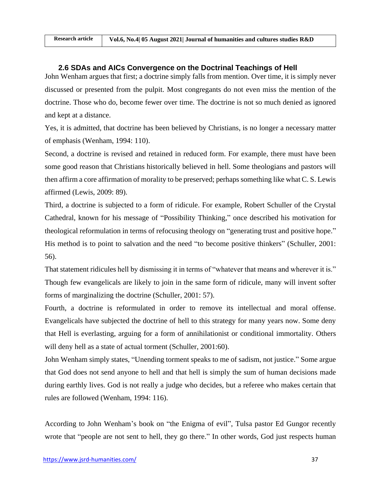## **2.6 SDAs and AICs Convergence on the Doctrinal Teachings of Hell**

John Wenham argues that first; a doctrine simply falls from mention. Over time, it is simply never discussed or presented from the pulpit. Most congregants do not even miss the mention of the doctrine. Those who do, become fewer over time. The doctrine is not so much denied as ignored and kept at a distance.

Yes, it is admitted, that doctrine has been believed by Christians, is no longer a necessary matter of emphasis (Wenham, 1994: 110).

Second, a doctrine is revised and retained in reduced form. For example, there must have been some good reason that Christians historically believed in hell. Some theologians and pastors will then affirm a core affirmation of morality to be preserved; perhaps something like what C. S. Lewis affirmed (Lewis, 2009: 89).

Third, a doctrine is subjected to a form of ridicule. For example, Robert Schuller of the Crystal Cathedral, known for his message of "Possibility Thinking," once described his motivation for theological reformulation in terms of refocusing theology on "generating trust and positive hope." His method is to point to salvation and the need "to become positive thinkers" (Schuller, 2001: 56).

That statement ridicules hell by dismissing it in terms of "whatever that means and wherever it is." Though few evangelicals are likely to join in the same form of ridicule, many will invent softer forms of marginalizing the doctrine (Schuller, 2001: 57).

Fourth, a doctrine is reformulated in order to remove its intellectual and moral offense. Evangelicals have subjected the doctrine of hell to this strategy for many years now. Some deny that Hell is everlasting, arguing for a form of annihilationist or conditional immortality. Others will deny hell as a state of actual torment (Schuller, 2001:60).

John Wenham simply states, "Unending torment speaks to me of sadism, not justice." Some argue that God does not send anyone to hell and that hell is simply the sum of human decisions made during earthly lives. God is not really a judge who decides, but a referee who makes certain that rules are followed (Wenham, 1994: 116).

According to John Wenham's book on "the Enigma of evil", Tulsa pastor Ed Gungor recently wrote that "people are not sent to hell, they go there." In other words, God just respects human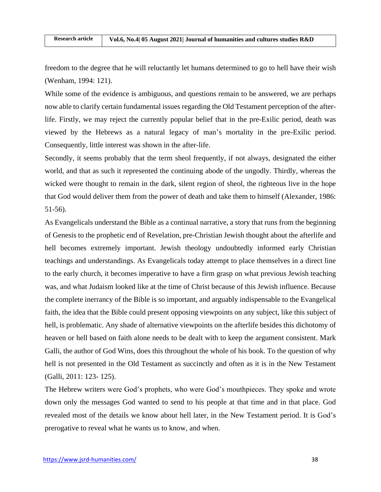freedom to the degree that he will reluctantly let humans determined to go to hell have their wish (Wenham, 1994: 121).

While some of the evidence is ambiguous, and questions remain to be answered, we are perhaps now able to clarify certain fundamental issues regarding the Old Testament perception of the afterlife. Firstly, we may reject the currently popular belief that in the pre-Exilic period, death was viewed by the Hebrews as a natural legacy of man's mortality in the pre-Exilic period. Consequently, little interest was shown in the after-life.

Secondly, it seems probably that the term sheol frequently, if not always, designated the either world, and that as such it represented the continuing abode of the ungodly. Thirdly, whereas the wicked were thought to remain in the dark, silent region of sheol, the righteous live in the hope that God would deliver them from the power of death and take them to himself (Alexander, 1986: 51-56).

As Evangelicals understand the Bible as a continual narrative, a story that runs from the beginning of Genesis to the prophetic end of Revelation, pre-Christian Jewish thought about the afterlife and hell becomes extremely important. Jewish theology undoubtedly informed early Christian teachings and understandings. As Evangelicals today attempt to place themselves in a direct line to the early church, it becomes imperative to have a firm grasp on what previous Jewish teaching was, and what Judaism looked like at the time of Christ because of this Jewish influence. Because the complete inerrancy of the Bible is so important, and arguably indispensable to the Evangelical faith, the idea that the Bible could present opposing viewpoints on any subject, like this subject of hell, is problematic. Any shade of alternative viewpoints on the afterlife besides this dichotomy of heaven or hell based on faith alone needs to be dealt with to keep the argument consistent. Mark Galli, the author of God Wins, does this throughout the whole of his book. To the question of why hell is not presented in the Old Testament as succinctly and often as it is in the New Testament (Galli, 2011: 123- 125).

The Hebrew writers were God's prophets, who were God's mouthpieces. They spoke and wrote down only the messages God wanted to send to his people at that time and in that place. God revealed most of the details we know about hell later, in the New Testament period. It is God's prerogative to reveal what he wants us to know, and when.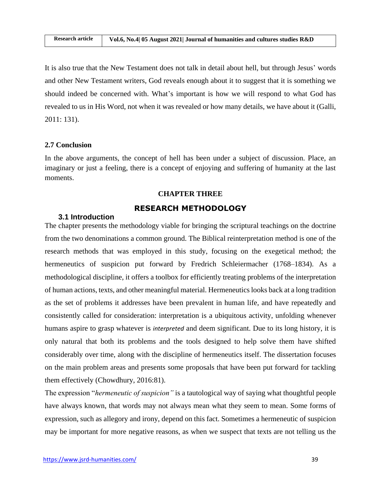It is also true that the New Testament does not talk in detail about hell, but through Jesus' words and other New Testament writers, God reveals enough about it to suggest that it is something we should indeed be concerned with. What's important is how we will respond to what God has revealed to us in His Word, not when it was revealed or how many details, we have about it (Galli, 2011: 131).

### **2.7 Conclusion**

In the above arguments, the concept of hell has been under a subject of discussion. Place, an imaginary or just a feeling, there is a concept of enjoying and suffering of humanity at the last moments.

#### **CHAPTER THREE**

## **RESEARCH METHODOLOGY**

# **3.1 Introduction**

The chapter presents the methodology viable for bringing the scriptural teachings on the doctrine from the two denominations a common ground. The Biblical reinterpretation method is one of the research methods that was employed in this study, focusing on the exegetical method; the hermeneutics of suspicion put forward by Fredrich Schleiermacher (1768–1834). As a methodological discipline, it offers a toolbox for efficiently treating problems of the interpretation of human actions, texts, and other meaningful material. Hermeneutics looks back at a long tradition as the set of problems it addresses have been prevalent in human life, and have repeatedly and consistently called for consideration: interpretation is a ubiquitous activity, unfolding whenever humans aspire to grasp whatever is *interpreted* and deem significant. Due to its long history, it is only natural that both its problems and the tools designed to help solve them have shifted considerably over time, along with the discipline of hermeneutics itself. The dissertation focuses on the main problem areas and presents some proposals that have been put forward for tackling them effectively (Chowdhury, 2016:81).

The expression "*hermeneutic of suspicion"* is a tautological way of saying what thoughtful people have always known, that words may not always mean what they seem to mean. Some forms of expression, such as allegory and irony, depend on this fact. Sometimes a hermeneutic of suspicion may be important for more negative reasons, as when we suspect that texts are not telling us the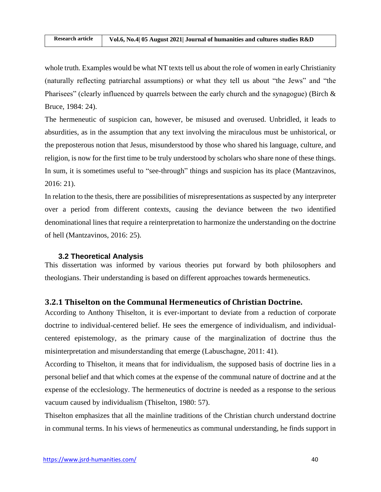whole truth. Examples would be what NT texts tell us about the role of women in early Christianity (naturally reflecting patriarchal assumptions) or what they tell us about "the Jews" and "the Pharisees" (clearly influenced by quarrels between the early church and the synagogue) (Birch  $\&$ Bruce, 1984: 24).

The hermeneutic of suspicion can, however, be misused and overused. Unbridled, it leads to absurdities, as in the assumption that any text involving the miraculous must be unhistorical, or the preposterous notion that Jesus, misunderstood by those who shared his language, culture, and religion, is now for the first time to be truly understood by scholars who share none of these things. In sum, it is sometimes useful to "see-through" things and suspicion has its place (Mantzavinos, 2016: 21).

In relation to the thesis, there are possibilities of misrepresentations as suspected by any interpreter over a period from different contexts, causing the deviance between the two identified denominational lines that require a reinterpretation to harmonize the understanding on the doctrine of hell (Mantzavinos, 2016: 25).

## **3.2 Theoretical Analysis**

This dissertation was informed by various theories put forward by both philosophers and theologians. Their understanding is based on different approaches towards hermeneutics.

## **3.2.1 Thiselton on the Communal Hermeneutics of Christian Doctrine.**

According to Anthony Thiselton, it is ever-important to deviate from a reduction of corporate doctrine to individual-centered belief. He sees the emergence of individualism, and individualcentered epistemology, as the primary cause of the marginalization of doctrine thus the misinterpretation and misunderstanding that emerge (Labuschagne, 2011: 41).

According to Thiselton, it means that for individualism, the supposed basis of doctrine lies in a personal belief and that which comes at the expense of the communal nature of doctrine and at the expense of the ecclesiology. The hermeneutics of doctrine is needed as a response to the serious vacuum caused by individualism (Thiselton, 1980: 57).

Thiselton emphasizes that all the mainline traditions of the Christian church understand doctrine in communal terms. In his views of hermeneutics as communal understanding, he finds support in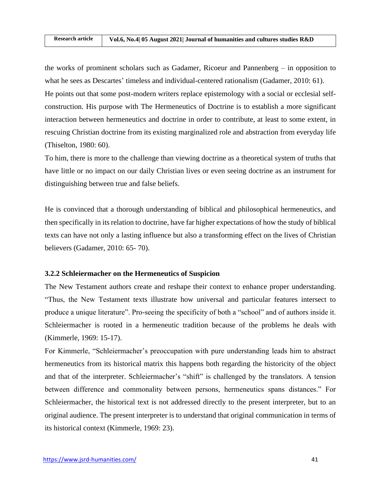the works of prominent scholars such as Gadamer, Ricoeur and Pannenberg – in opposition to what he sees as Descartes' timeless and individual-centered rationalism (Gadamer, 2010: 61). He points out that some post-modern writers replace epistemology with a social or ecclesial selfconstruction. His purpose with The Hermeneutics of Doctrine is to establish a more significant interaction between hermeneutics and doctrine in order to contribute, at least to some extent, in rescuing Christian doctrine from its existing marginalized role and abstraction from everyday life (Thiselton, 1980: 60).

To him, there is more to the challenge than viewing doctrine as a theoretical system of truths that have little or no impact on our daily Christian lives or even seeing doctrine as an instrument for distinguishing between true and false beliefs.

He is convinced that a thorough understanding of biblical and philosophical hermeneutics, and then specifically in its relation to doctrine, have far higher expectations of how the study of biblical texts can have not only a lasting influence but also a transforming effect on the lives of Christian believers (Gadamer, 2010: 65- 70).

#### **3.2.2 Schleiermacher on the Hermeneutics of Suspicion**

The New Testament authors create and reshape their context to enhance proper understanding. "Thus, the New Testament texts illustrate how universal and particular features intersect to produce a unique literature". Pro-seeing the specificity of both a "school" and of authors inside it. Schleiermacher is rooted in a hermeneutic tradition because of the problems he deals with (Kimmerle, 1969: 15-17).

For Kimmerle, "Schleiermacher's preoccupation with pure understanding leads him to abstract hermeneutics from its historical matrix this happens both regarding the historicity of the object and that of the interpreter. Schleiermacher's "shift" is challenged by the translators. A tension between difference and commonality between persons, hermeneutics spans distances." For Schleiermacher, the historical text is not addressed directly to the present interpreter, but to an original audience. The present interpreter is to understand that original communication in terms of its historical context (Kimmerle, 1969: 23).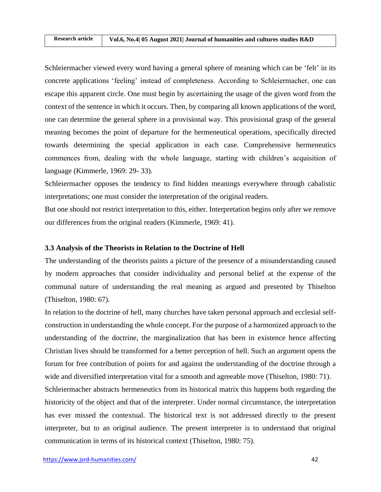Schleiermacher viewed every word having a general sphere of meaning which can be 'felt' in its concrete applications 'feeling' instead of completeness. According to Schleiermacher, one can escape this apparent circle. One must begin by ascertaining the usage of the given word from the context of the sentence in which it occurs. Then, by comparing all known applications of the word, one can determine the general sphere in a provisional way. This provisional grasp of the general meaning becomes the point of departure for the hermeneutical operations, specifically directed towards determining the special application in each case. Comprehensive hermeneutics commences from, dealing with the whole language, starting with children's acquisition of language (Kimmerle, 1969: 29- 33).

Schleiermacher opposes the tendency to find hidden meanings everywhere through cabalistic interpretations; one must consider the interpretation of the original readers.

But one should not restrict interpretation to this, either. Interpretation begins only after we remove our differences from the original readers (Kimmerle, 1969: 41).

### **3.3 Analysis of the Theorists in Relation to the Doctrine of Hell**

The understanding of the theorists paints a picture of the presence of a misunderstanding caused by modern approaches that consider individuality and personal belief at the expense of the communal nature of understanding the real meaning as argued and presented by Thiselton (Thiselton, 1980: 67).

In relation to the doctrine of hell, many churches have taken personal approach and ecclesial selfconstruction in understanding the whole concept. For the purpose of a harmonized approach to the understanding of the doctrine, the marginalization that has been in existence hence affecting Christian lives should be transformed for a better perception of hell. Such an argument opens the forum for free contribution of points for and against the understanding of the doctrine through a wide and diversified interpretation vital for a smooth and agreeable move (Thiselton, 1980: 71).

Schleiermacher abstracts hermeneutics from its historical matrix this happens both regarding the historicity of the object and that of the interpreter. Under normal circumstance, the interpretation has ever missed the contextual. The historical text is not addressed directly to the present interpreter, but to an original audience. The present interpreter is to understand that original communication in terms of its historical context (Thiselton, 1980: 75).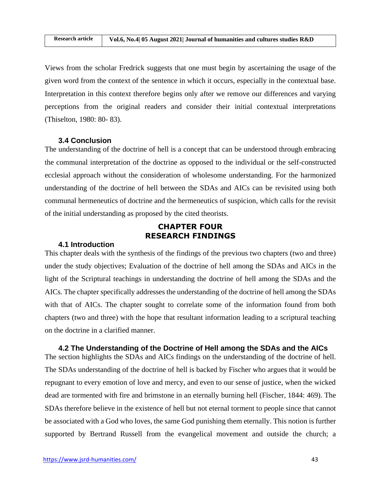Views from the scholar Fredrick suggests that one must begin by ascertaining the usage of the given word from the context of the sentence in which it occurs, especially in the contextual base. Interpretation in this context therefore begins only after we remove our differences and varying perceptions from the original readers and consider their initial contextual interpretations (Thiselton, 1980: 80- 83).

#### **3.4 Conclusion**

The understanding of the doctrine of hell is a concept that can be understood through embracing the communal interpretation of the doctrine as opposed to the individual or the self-constructed ecclesial approach without the consideration of wholesome understanding. For the harmonized understanding of the doctrine of hell between the SDAs and AICs can be revisited using both communal hermeneutics of doctrine and the hermeneutics of suspicion, which calls for the revisit of the initial understanding as proposed by the cited theorists.

# **CHAPTER FOUR RESEARCH FINDINGS**

#### **4.1 Introduction**

This chapter deals with the synthesis of the findings of the previous two chapters (two and three) under the study objectives; Evaluation of the doctrine of hell among the SDAs and AICs in the light of the Scriptural teachings in understanding the doctrine of hell among the SDAs and the AICs. The chapter specifically addresses the understanding of the doctrine of hell among the SDAs with that of AICs. The chapter sought to correlate some of the information found from both chapters (two and three) with the hope that resultant information leading to a scriptural teaching on the doctrine in a clarified manner.

**4.2 The Understanding of the Doctrine of Hell among the SDAs and the AICs** The section highlights the SDAs and AICs findings on the understanding of the doctrine of hell. The SDAs understanding of the doctrine of hell is backed by Fischer who argues that it would be repugnant to every emotion of love and mercy, and even to our sense of justice, when the wicked dead are tormented with fire and brimstone in an eternally burning hell (Fischer, 1844: 469). The SDAs therefore believe in the existence of hell but not eternal torment to people since that cannot be associated with a God who loves, the same God punishing them eternally. This notion is further supported by Bertrand Russell from the evangelical movement and outside the church; a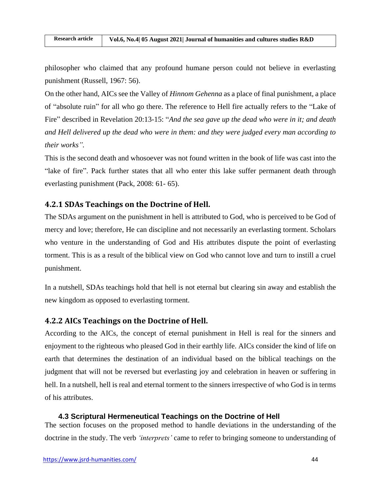philosopher who claimed that any profound humane person could not believe in everlasting punishment (Russell, 1967: 56).

On the other hand, AICs see the Valley of *Hinnom Gehenna* as a place of final punishment, a place of "absolute ruin" for all who go there. The reference to Hell fire actually refers to the "Lake of Fire" described in Revelation 20:13-15: "*And the sea gave up the dead who were in it; and death and Hell delivered up the dead who were in them: and they were judged every man according to their works".* 

This is the second death and whosoever was not found written in the book of life was cast into the "lake of fire". Pack further states that all who enter this lake suffer permanent death through everlasting punishment (Pack, 2008: 61- 65).

## **4.2.1 SDAs Teachings on the Doctrine of Hell.**

The SDAs argument on the punishment in hell is attributed to God, who is perceived to be God of mercy and love; therefore, He can discipline and not necessarily an everlasting torment. Scholars who venture in the understanding of God and His attributes dispute the point of everlasting torment. This is as a result of the biblical view on God who cannot love and turn to instill a cruel punishment.

In a nutshell, SDAs teachings hold that hell is not eternal but clearing sin away and establish the new kingdom as opposed to everlasting torment.

## **4.2.2 AICs Teachings on the Doctrine of Hell.**

According to the AICs, the concept of eternal punishment in Hell is real for the sinners and enjoyment to the righteous who pleased God in their earthly life. AICs consider the kind of life on earth that determines the destination of an individual based on the biblical teachings on the judgment that will not be reversed but everlasting joy and celebration in heaven or suffering in hell. In a nutshell, hell is real and eternal torment to the sinners irrespective of who God is in terms of his attributes.

#### **4.3 Scriptural Hermeneutical Teachings on the Doctrine of Hell**

The section focuses on the proposed method to handle deviations in the understanding of the doctrine in the study. The verb *'interprets'* came to refer to bringing someone to understanding of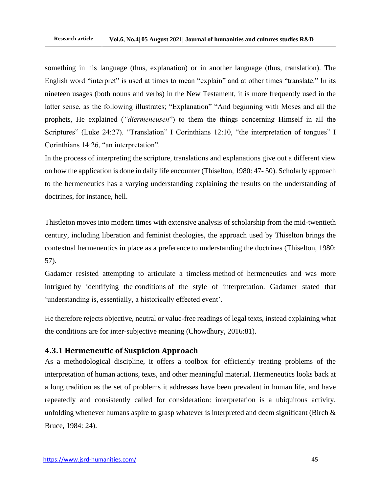something in his language (thus, explanation) or in another language (thus, translation). The English word "interpret" is used at times to mean "explain" and at other times "translate." In its nineteen usages (both nouns and verbs) in the New Testament, it is more frequently used in the latter sense, as the following illustrates; "Explanation" "And beginning with Moses and all the prophets, He explained (*"diermeneusen*") to them the things concerning Himself in all the Scriptures" (Luke 24:27). "Translation" I Corinthians 12:10, "the interpretation of tongues" I Corinthians 14:26, "an interpretation".

In the process of interpreting the scripture, translations and explanations give out a different view on how the application is done in daily life encounter (Thiselton, 1980: 47- 50). Scholarly approach to the hermeneutics has a varying understanding explaining the results on the understanding of doctrines, for instance, hell.

Thistleton moves into modern times with extensive analysis of scholarship from the mid-twentieth century, including liberation and feminist theologies, the approach used by Thiselton brings the contextual hermeneutics in place as a preference to understanding the doctrines (Thiselton, 1980: 57).

Gadamer resisted attempting to articulate a timeless method of hermeneutics and was more intrigued by identifying the conditions of the style of interpretation. Gadamer stated that 'understanding is, essentially, a historically effected event'.

He therefore rejects objective, neutral or value-free readings of legal texts, instead explaining what the conditions are for inter-subjective meaning (Chowdhury, 2016:81).

# **4.3.1 Hermeneutic of Suspicion Approach**

As a methodological discipline, it offers a toolbox for efficiently treating problems of the interpretation of human actions, texts, and other meaningful material. Hermeneutics looks back at a long tradition as the set of problems it addresses have been prevalent in human life, and have repeatedly and consistently called for consideration: interpretation is a ubiquitous activity, unfolding whenever humans aspire to grasp whatever is interpreted and deem significant (Birch  $\&$ Bruce, 1984: 24).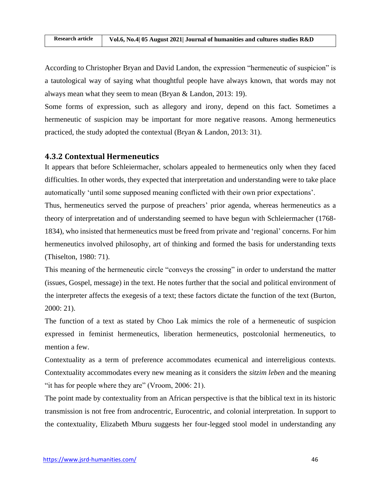According to Christopher Bryan and David Landon, the expression "hermeneutic of suspicion" is a tautological way of saying what thoughtful people have always known, that words may not always mean what they seem to mean (Bryan & Landon, 2013: 19).

Some forms of expression, such as allegory and irony, depend on this fact. Sometimes a hermeneutic of suspicion may be important for more negative reasons. Among hermeneutics practiced, the study adopted the contextual (Bryan & Landon, 2013: 31).

### **4.3.2 Contextual Hermeneutics**

It appears that before Schleiermacher, scholars appealed to hermeneutics only when they faced difficulties. In other words, they expected that interpretation and understanding were to take place automatically 'until some supposed meaning conflicted with their own prior expectations'.

Thus, hermeneutics served the purpose of preachers' prior agenda, whereas hermeneutics as a theory of interpretation and of understanding seemed to have begun with Schleiermacher (1768- 1834), who insisted that hermeneutics must be freed from private and 'regional' concerns. For him hermeneutics involved philosophy, art of thinking and formed the basis for understanding texts (Thiselton, 1980: 71).

This meaning of the hermeneutic circle "conveys the crossing" in order to understand the matter (issues, Gospel, message) in the text. He notes further that the social and political environment of the interpreter affects the exegesis of a text; these factors dictate the function of the text (Burton, 2000: 21).

The function of a text as stated by Choo Lak mimics the role of a hermeneutic of suspicion expressed in feminist hermeneutics, liberation hermeneutics, postcolonial hermeneutics, to mention a few.

Contextuality as a term of preference accommodates ecumenical and interreligious contexts. Contextuality accommodates every new meaning as it considers the *sitzim leben* and the meaning "it has for people where they are" (Vroom, 2006: 21).

The point made by contextuality from an African perspective is that the biblical text in its historic transmission is not free from androcentric, Eurocentric, and colonial interpretation. In support to the contextuality, Elizabeth Mburu suggests her four-legged stool model in understanding any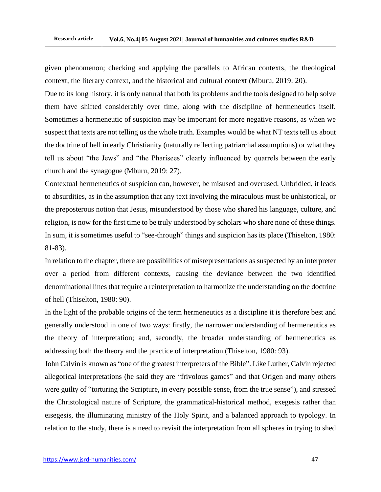given phenomenon; checking and applying the parallels to African contexts, the theological context, the literary context, and the historical and cultural context (Mburu, 2019: 20).

Due to its long history, it is only natural that both its problems and the tools designed to help solve them have shifted considerably over time, along with the discipline of hermeneutics itself. Sometimes a hermeneutic of suspicion may be important for more negative reasons, as when we suspect that texts are not telling us the whole truth. Examples would be what NT texts tell us about the doctrine of hell in early Christianity (naturally reflecting patriarchal assumptions) or what they tell us about "the Jews" and "the Pharisees" clearly influenced by quarrels between the early church and the synagogue (Mburu, 2019: 27).

Contextual hermeneutics of suspicion can, however, be misused and overused. Unbridled, it leads to absurdities, as in the assumption that any text involving the miraculous must be unhistorical, or the preposterous notion that Jesus, misunderstood by those who shared his language, culture, and religion, is now for the first time to be truly understood by scholars who share none of these things. In sum, it is sometimes useful to "see-through" things and suspicion has its place (Thiselton, 1980: 81-83).

In relation to the chapter, there are possibilities of misrepresentations as suspected by an interpreter over a period from different contexts, causing the deviance between the two identified denominational lines that require a reinterpretation to harmonize the understanding on the doctrine of hell (Thiselton, 1980: 90).

In the light of the probable origins of the term hermeneutics as a discipline it is therefore best and generally understood in one of two ways: firstly, the narrower understanding of hermeneutics as the theory of interpretation; and, secondly, the broader understanding of hermeneutics as addressing both the theory and the practice of interpretation (Thiselton, 1980: 93).

John Calvin is known as "one of the greatest interpreters of the Bible". Like Luther, Calvin rejected allegorical interpretations (he said they are "frivolous games" and that Origen and many others were guilty of "torturing the Scripture, in every possible sense, from the true sense"), and stressed the Christological nature of Scripture, the grammatical-historical method, exegesis rather than eisegesis, the illuminating ministry of the Holy Spirit, and a balanced approach to typology. In relation to the study, there is a need to revisit the interpretation from all spheres in trying to shed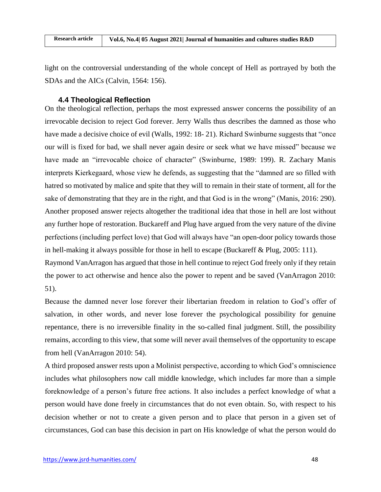light on the controversial understanding of the whole concept of Hell as portrayed by both the SDAs and the AICs (Calvin, 1564: 156).

### **4.4 Theological Reflection**

On the theological reflection, perhaps the most expressed answer concerns the possibility of an irrevocable decision to reject God forever. Jerry Walls thus describes the damned as those who have made a decisive choice of evil (Walls, 1992: 18-21). Richard Swinburne suggests that "once our will is fixed for bad, we shall never again desire or seek what we have missed" because we have made an "irrevocable choice of character" (Swinburne, 1989: 199). R. Zachary Manis interprets Kierkegaard, whose view he defends, as suggesting that the "damned are so filled with hatred so motivated by malice and spite that they will to remain in their state of torment, all for the sake of demonstrating that they are in the right, and that God is in the wrong" (Manis, 2016: 290). Another proposed answer rejects altogether the traditional idea that those in hell are lost without any further hope of restoration. Buckareff and Plug have argued from the very nature of the divine perfections (including perfect love) that God will always have "an open-door policy towards those in hell-making it always possible for those in hell to escape (Buckareff & Plug, 2005: 111).

Raymond VanArragon has argued that those in hell continue to reject God freely only if they retain the power to act otherwise and hence also the power to repent and be saved (VanArragon 2010: 51).

Because the damned never lose forever their libertarian freedom in relation to God's offer of salvation, in other words, and never lose forever the psychological possibility for genuine repentance, there is no irreversible finality in the so-called final judgment. Still, the possibility remains, according to this view, that some will never avail themselves of the opportunity to escape from hell (VanArragon 2010: 54).

A third proposed answer rests upon a Molinist perspective, according to which God's omniscience includes what philosophers now call middle knowledge, which includes far more than a simple foreknowledge of a person's future free actions. It also includes a perfect knowledge of what a person would have done freely in circumstances that do not even obtain. So, with respect to his decision whether or not to create a given person and to place that person in a given set of circumstances, God can base this decision in part on His knowledge of what the person would do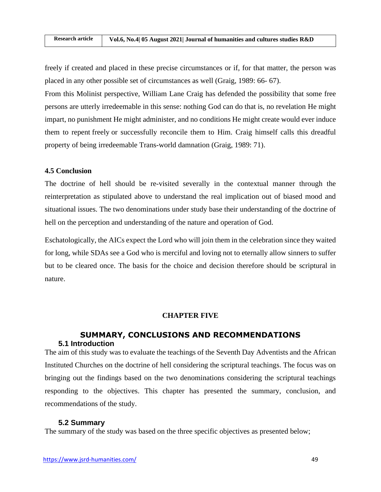freely if created and placed in these precise circumstances or if, for that matter, the person was placed in any other possible set of circumstances as well (Graig, 1989: 66- 67).

From this Molinist perspective, William Lane Craig has defended the possibility that some free persons are utterly irredeemable in this sense: nothing God can do that is, no revelation He might impart, no punishment He might administer, and no conditions He might create would ever induce them to repent freely or successfully reconcile them to Him. Craig himself calls this dreadful property of being irredeemable Trans-world damnation (Graig, 1989: 71).

### **4.5 Conclusion**

The doctrine of hell should be re-visited severally in the contextual manner through the reinterpretation as stipulated above to understand the real implication out of biased mood and situational issues. The two denominations under study base their understanding of the doctrine of hell on the perception and understanding of the nature and operation of God.

Eschatologically, the AICs expect the Lord who will join them in the celebration since they waited for long, while SDAs see a God who is merciful and loving not to eternally allow sinners to suffer but to be cleared once. The basis for the choice and decision therefore should be scriptural in nature.

### **CHAPTER FIVE**

### **SUMMARY, CONCLUSIONS AND RECOMMENDATIONS 5.1 Introduction**

The aim of this study was to evaluate the teachings of the Seventh Day Adventists and the African Instituted Churches on the doctrine of hell considering the scriptural teachings. The focus was on bringing out the findings based on the two denominations considering the scriptural teachings responding to the objectives. This chapter has presented the summary, conclusion, and recommendations of the study.

#### **5.2 Summary**

The summary of the study was based on the three specific objectives as presented below;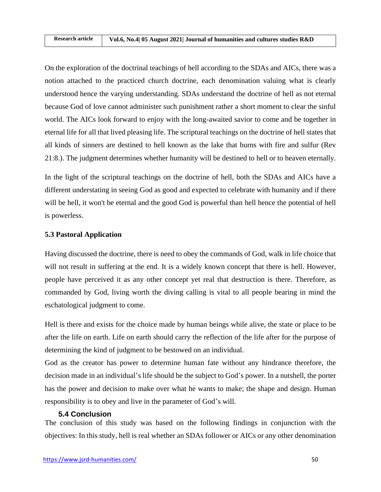On the exploration of the doctrinal teachings of hell according to the SDAs and AICs, there was a notion attached to the practiced church doctrine, each denomination valuing what is clearly understood hence the varying understanding. SDAs understand the doctrine of hell as not eternal because God of love cannot administer such punishment rather a short moment to clear the sinful world. The AICs look forward to enjoy with the long-awaited savior to come and be together in eternal life for all that lived pleasing life. The scriptural teachings on the doctrine of hell states that all kinds of sinners are destined to hell known as the lake that burns with fire and sulfur (Rev 21:8.). The judgment determines whether humanity will be destined to hell or to heaven eternally.

In the light of the scriptural teachings on the doctrine of hell, both the SDAs and AICs have a different understating in seeing God as good and expected to celebrate with humanity and if there will be hell, it won't be eternal and the good God is powerful than hell hence the potential of hell is powerless.

## **5.3 Pastoral Application**

Having discussed the doctrine, there is need to obey the commands of God, walk in life choice that will not result in suffering at the end. It is a widely known concept that there is hell. However, people have perceived it as any other concept yet real that destruction is there. Therefore, as commanded by God, living worth the diving calling is vital to all people bearing in mind the eschatological judgment to come.

Hell is there and exists for the choice made by human beings while alive, the state or place to be after the life on earth. Life on earth should carry the reflection of the life after for the purpose of determining the kind of judgment to be bestowed on an individual.

God as the creator has power to determine human fate without any hindrance therefore, the decision made in an individual's life should be the subject to God's power. In a nutshell, the porter has the power and decision to make over what he wants to make; the shape and design. Human responsibility is to obey and live in the parameter of God's will.

### **5.4 Conclusion**

The conclusion of this study was based on the following findings in conjunction with the objectives: In this study, hell is real whether an SDAs follower or AICs or any other denomination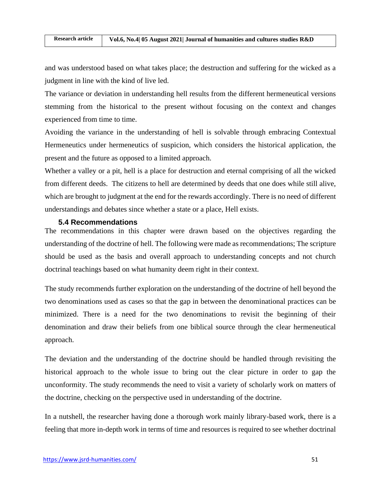and was understood based on what takes place; the destruction and suffering for the wicked as a judgment in line with the kind of live led.

The variance or deviation in understanding hell results from the different hermeneutical versions stemming from the historical to the present without focusing on the context and changes experienced from time to time.

Avoiding the variance in the understanding of hell is solvable through embracing Contextual Hermeneutics under hermeneutics of suspicion, which considers the historical application, the present and the future as opposed to a limited approach.

Whether a valley or a pit, hell is a place for destruction and eternal comprising of all the wicked from different deeds. The citizens to hell are determined by deeds that one does while still alive, which are brought to judgment at the end for the rewards accordingly. There is no need of different understandings and debates since whether a state or a place, Hell exists.

### **5.4 Recommendations**

The recommendations in this chapter were drawn based on the objectives regarding the understanding of the doctrine of hell. The following were made as recommendations; The scripture should be used as the basis and overall approach to understanding concepts and not church doctrinal teachings based on what humanity deem right in their context.

The study recommends further exploration on the understanding of the doctrine of hell beyond the two denominations used as cases so that the gap in between the denominational practices can be minimized. There is a need for the two denominations to revisit the beginning of their denomination and draw their beliefs from one biblical source through the clear hermeneutical approach.

The deviation and the understanding of the doctrine should be handled through revisiting the historical approach to the whole issue to bring out the clear picture in order to gap the unconformity. The study recommends the need to visit a variety of scholarly work on matters of the doctrine, checking on the perspective used in understanding of the doctrine.

In a nutshell, the researcher having done a thorough work mainly library-based work, there is a feeling that more in-depth work in terms of time and resources is required to see whether doctrinal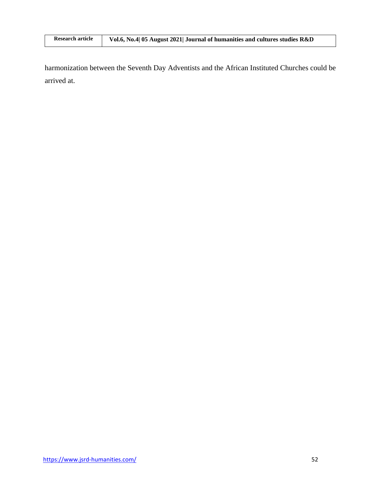| <b>Research article</b> | Vol.6, No.4 05 August 2021 Journal of humanities and cultures studies R&D |
|-------------------------|---------------------------------------------------------------------------|

harmonization between the Seventh Day Adventists and the African Instituted Churches could be arrived at.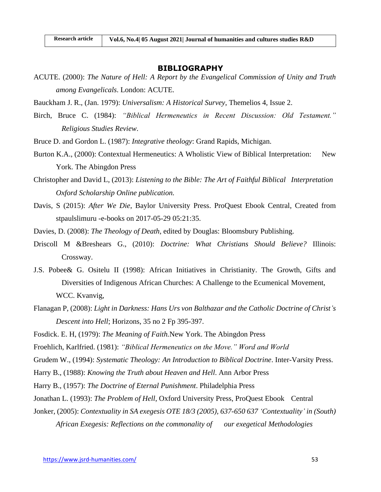### **BIBLIOGRAPHY**

- ACUTE. (2000): *The Nature of Hell: A Report by the Evangelical Commission of Unity and Truth among Evangelicals*. London: ACUTE.
- Bauckham J. R., (Jan. 1979): *Universalism: A Historical Survey*, Themelios 4, Issue 2.
- Birch, Bruce C. (1984): *"Biblical Hermeneutics in Recent Discussion: Old Testament." Religious Studies Review*.
- Bruce D. and Gordon L. (1987): *Integrative theology*: Grand Rapids, Michigan.

| Rese

- Burton K.A., (2000): Contextual Hermeneutics: A Wholistic View of Biblical Interpretation: New York. The Abingdon Press
- Christopher and David L, (2013): *[Listening to the Bible: The Art of Faithful Biblical Interpretation](https://www.oxfordscholarship.com/view/10.1093/acprof:oso/9780199336593.001.0001/acprof-9780199336593) Oxford Scholarship Online publication.*
- Davis, S (2015): *After We Die*, Baylor University Press. ProQuest Ebook Central, Created from stpaulslimuru -e-books on 2017-05-29 05:21:35.
- Davies, D. (2008): *The Theology of Death*, edited by Douglas: Bloomsbury Publishing.
- Driscoll M &Breshears G., (2010): *Doctrine: What Christians Should Believe?* Illinois: Crossway.
- J.S. Pobee& G. Ositelu II (1998): African Initiatives in Christianity. The Growth, Gifts and Diversities of Indigenous African Churches: A Challenge to the Ecumenical Movement, WCC. Kvanvig,
- [Flanagan](javascript:__doLinkPostBack() P, (2008): *Light in Darkness: Hans Urs von Balthazar and the Catholic Doctrine of Christ's Descent into Hell*; [Horizons,](javascript:__doLinkPostBack() 35 no 2 Fp 395-397.
- Fosdick. E. H, (1979): *The Meaning of Faith.*New York. The Abingdon Press
- Froehlich, Karlfried. (1981): *"Biblical Hermeneutics on the Move." Word and World*
- Grudem W., (1994): *Systematic Theology: An Introduction to Biblical Doctrine*. Inter-Varsity Press.
- Harry B., (1988): *Knowing the Truth about Heaven and Hell*. Ann Arbor Press
- Harry B., (1957): *The Doctrine of Eternal Punishment*. Philadelphia Press
- Jonathan L. (1993): *The Problem of Hell*, Oxford University Press, ProQuest Ebook Central
- Jonker, (2005): *Contextuality in SA exegesis OTE 18/3 (2005), 637-650 637 'Contextuality' in (South) African Exegesis: Reflections on the commonality of our exegetical Methodologies*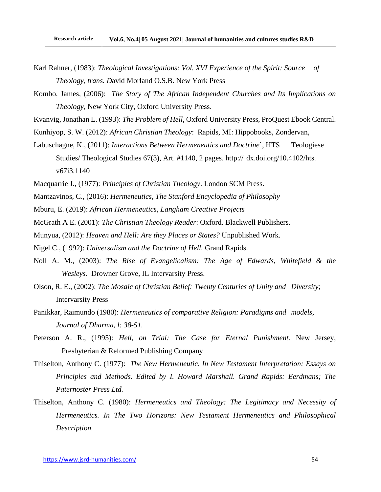- Karl Rahner, (1983): *Theological Investigations: Vol. XVI Experience of the Spirit: Source of Theology, trans. D*avid Morland O.S.B. New York Press
- Kombo, James, (2006): *The Story of The African Independent Churches and Its Implications on Theology,* New York City, Oxford University Press.
- Kvanvig, Jonathan L. (1993): *The Problem of Hell*, Oxford University Press, ProQuest Ebook Central.
- [Kunhiyop, S. W.](http://library.spu.ac.ke/cgi-bin/koha/opac-search.pl?q=au:%22Kunhiyop,%20Samuel%20Waje.%22) (2012): *African Christian Theology*: Rapids, MI: [Hippobooks, Zondervan,](http://library.spu.ac.ke/cgi-bin/koha/opac-search.pl?q=pb:Hippobooks,)
- Labuschagne, K., (2011): *Interactions Between Hermeneutics and Doctrine*', HTS Teologiese Studies/ Theological Studies 67(3), Art. #1140, 2 pages. http:// dx.doi.org/10.4102/hts. v67i3.1140
- Macquarrie J., (1977): *Principles of Christian Theology*. London SCM Press.
- Mantzavinos, C., (2016): *Hermeneutics, The Stanford Encyclopedia of Philosophy*
- Mburu, E. (2019): *African Hermeneutics, Langham Creative Projects*
- McGrath A E. (2001): *The Christian Theology Reader*: Oxford. [Blackwell Publishers.](http://library.spu.ac.ke/cgi-bin/koha/opac-search.pl?q=pb:Blackwell%20Publishers.)
- Munyua, (2012): *Heaven and Hell: Are they Places or States?* Unpublished Work.
- Nigel C., (1992): *Universalism and the Doctrine of Hell.* Grand Rapids.
- Noll A. M., (2003): *The Rise of Evangelicalism: The Age of Edwards, Whitefield & the Wesleys*. Drowner Grove, IL Intervarsity Press.
- Olson, R. E., (2002): *The Mosaic of Christian Belief: Twenty Centuries of Unity and Diversity*; Intervarsity Press
- Panikkar, Raimundo (1980): *Hermeneutics of comparative Religion: Paradigms and models, Journal of Dharma, l: 38-51.*
- Peterson A. R., (1995): *Hell, on Trial: The Case for Eternal Punishment.* New Jersey, Presbyterian & Reformed Publishing Company
- Thiselton, Anthony C. (1977): *The New Hermeneutic. In New Testament Interpretation: Essays on Principles and Methods. Edited by I. Howard Marshall. Grand Rapids: Eerdmans; The Paternoster Press Ltd.*
- Thiselton, Anthony C. (1980): *Hermeneutics and Theology: The Legitimacy and Necessity of Hermeneutics. In The Two Horizons: New Testament Hermeneutics and Philosophical Description.*